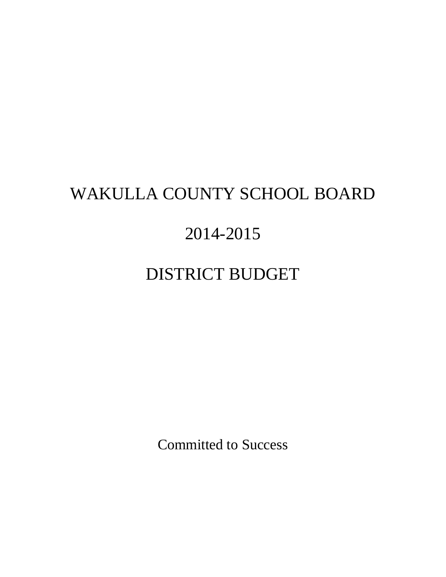# WAKULLA COUNTY SCHOOL BOARD

# 2014-2015

# DISTRICT BUDGET

Committed to Success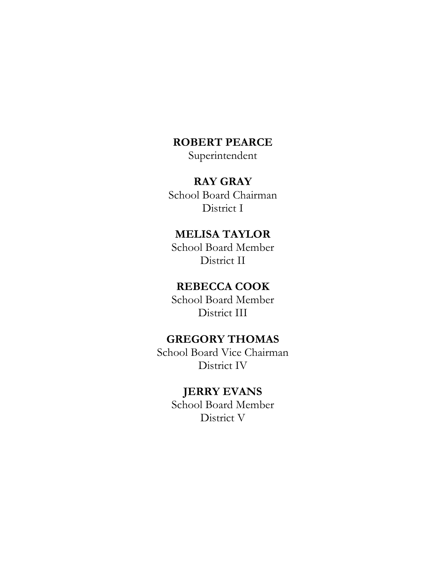## **ROBERT PEARCE**

Superintendent

## **RAY GRAY**

School Board Chairman District I

## **MELISA TAYLOR**

School Board Member District II

### **REBECCA COOK**

School Board Member District III

## **GREGORY THOMAS**

School Board Vice Chairman District IV

### **JERRY EVANS**

School Board Member District V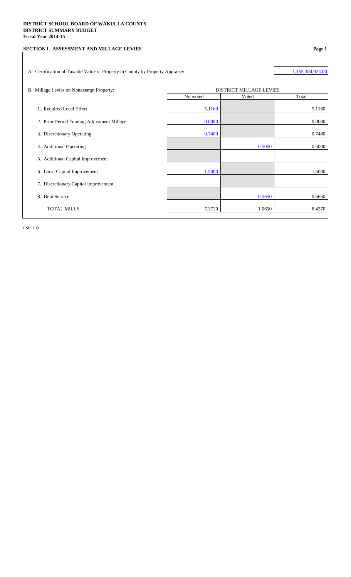#### **DISTRICT SCHOOL BOARD OF WAKULLA COUNTY DISTRICT SUMMARY BUDGET Fiscal Year 2014-15**

| SECTION I. ASSESSMENT AND MILLAGE LEVIES                                      |          |                         | Page 1           |
|-------------------------------------------------------------------------------|----------|-------------------------|------------------|
|                                                                               |          |                         |                  |
| A. Certification of Taxable Value of Property in County by Property Appraiser |          |                         | 1,155,384,924.00 |
|                                                                               |          |                         |                  |
| B. Millage Levies on Nonexempt Property:                                      |          | DISTRICT MILLAGE LEVIES |                  |
|                                                                               | Nonvoted | Voted                   | Total            |
| 1. Required Local Effort                                                      | 5.1160   |                         | 5.1160           |
| 2. Prior-Period Funding Adjustment Millage                                    | 0.0080   |                         | 0.0080           |
| 3. Discretionary Operating                                                    | 0.7480   |                         | 0.7480           |
| 4. Additional Operating                                                       |          | 0.5000                  | 0.5000           |
| 5. Additional Capital Improvement                                             |          |                         |                  |
| 6. Local Capital Improvement                                                  | 1.5000   |                         | 1.5000           |
| 7. Discretionary Capital Improvement                                          |          |                         |                  |
| 8. Debt Service                                                               |          | 0.5650                  | 0.5650           |
| <b>TOTAL MILLS</b>                                                            | 7.3720   | 1.0650                  | 8.4370           |
|                                                                               |          |                         |                  |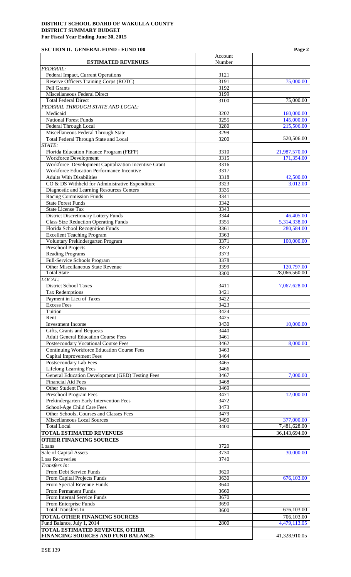### **SECTION II. GENERAL FUND - FUND 100 Page 2**

|                                                                                            | Account      | 1 agu 2                    |
|--------------------------------------------------------------------------------------------|--------------|----------------------------|
| <b>ESTIMATED REVENUES</b>                                                                  | Number       |                            |
| <b>FEDERAL:</b><br>Federal Impact, Current Operations                                      | 3121         |                            |
| Reserve Officers Training Corps (ROTC)                                                     | 3191         | 75,000.00                  |
| Pell Grants                                                                                | 3192         |                            |
| <b>Miscellaneous Federal Direct</b>                                                        | 3199         |                            |
| <b>Total Federal Direct</b><br>FEDERAL THROUGH STATE AND LOCAL:                            | 3100         | 75,000.00                  |
| Medicaid                                                                                   | 3202         | 160,000.00                 |
| <b>National Forest Funds</b>                                                               | 3255         | 145,000.00                 |
| Federal Through Local                                                                      | 3280         | 215,506.00                 |
| Miscellaneous Federal Through State                                                        | 3299         |                            |
| <b>Total Federal Through State and Local</b><br>STATE:                                     | 3200         | 520,506.00                 |
| Florida Education Finance Program (FEFP)                                                   | 3310         | 21,987,570.00              |
| <b>Workforce Development</b>                                                               | 3315         | 171,354.00                 |
| Workforce Development Capitalization Incentive Grant                                       | 3316         |                            |
| Workforce Education Performance Incentive<br><b>Adults With Disabilities</b>               | 3317         |                            |
| CO & DS Withheld for Administrative Expenditure                                            | 3318<br>3323 | 42,500.00<br>3,012.00      |
| Diagnostic and Learning Resources Centers                                                  | 3335         |                            |
| <b>Racing Commission Funds</b>                                                             | 3341         |                            |
| <b>State Forest Funds</b>                                                                  | 3342         |                            |
| <b>State License Tax</b>                                                                   | 3343         |                            |
| <b>District Discretionary Lottery Funds</b><br><b>Class Size Reduction Operating Funds</b> | 3344<br>3355 | 46,405.00<br>5,314,338.00  |
| Florida School Recognition Funds                                                           | 3361         | 280,584.00                 |
| <b>Excellent Teaching Program</b>                                                          | 3363         |                            |
| Voluntary Prekindergarten Program                                                          | 3371         | 100,000.00                 |
| Preschool Projects                                                                         | 3372         |                            |
| <b>Reading Programs</b><br>Full-Service Schools Program                                    | 3373<br>3378 |                            |
| Other Miscellaneous State Revenue                                                          | 3399         | 120,797.00                 |
| <b>Total State</b>                                                                         | 3300         | 28,066,560.00              |
| LOCAL:                                                                                     |              |                            |
| <b>District School Taxes</b>                                                               | 3411<br>3421 | 7,067,628.00               |
| <b>Tax Redemptions</b><br>Payment in Lieu of Taxes                                         | 3422         |                            |
| <b>Excess Fees</b>                                                                         | 3423         |                            |
| Tuition                                                                                    | 3424         |                            |
| Rent                                                                                       | 3425         |                            |
| <b>Investment Income</b><br>Gifts, Grants and Bequests                                     | 3430<br>3440 | 10,000.00                  |
| <b>Adult General Education Course Fees</b>                                                 | 3461         |                            |
| Postsecondary Vocational Course Fees                                                       | 3462         | 8,000.00                   |
| <b>Continuing Workforce Education Course Fees</b>                                          | 3463         |                            |
| <b>Capital Improvement Fees</b>                                                            | 3464         |                            |
| Postsecondary Lab Fees<br><b>Lifelong Learning Fees</b>                                    | 3465<br>3466 |                            |
| General Education Development (GED) Testing Fees                                           | 3467         | 7,000.00                   |
| <b>Financial Aid Fees</b>                                                                  | 3468         |                            |
| Other Student Fees                                                                         | 3469         |                            |
| Preschool Program Fees                                                                     | 3471         | 12,000.00                  |
| Prekindergarten Early Intervention Fees<br>School-Age Child Care Fees                      | 3472<br>3473 |                            |
| Other Schools, Courses and Classes Fees                                                    | 3479         |                            |
| <b>Miscellaneous Local Sources</b>                                                         | 3490         | 377,000.00                 |
| <b>Total Local</b>                                                                         | 3400         | 7,481,628.00               |
| <b>TOTAL ESTIMATED REVENUES</b>                                                            |              | 36,143,694.00              |
| <b>OTHER FINANCING SOURCES</b><br>Loans                                                    | 3720         |                            |
| Sale of Capital Assets                                                                     | 3730         | 30,000.00                  |
| <b>Loss Recoveries</b>                                                                     | 3740         |                            |
| Transfers In:                                                                              |              |                            |
| From Debt Service Funds                                                                    | 3620         |                            |
| From Capital Projects Funds<br>From Special Revenue Funds                                  | 3630<br>3640 | 676,103.00                 |
| From Permanent Funds                                                                       | 3660         |                            |
| From Internal Service Funds                                                                | 3670         |                            |
| From Enterprise Funds                                                                      | 3690         |                            |
| <b>Total Transfers In</b>                                                                  | 3600         | 676,103.00                 |
| <b>TOTAL OTHER FINANCING SOURCES</b><br>Fund Balance, July 1, 2014                         | 2800         | 706,103.00<br>4,479,113.05 |
| <b>TOTAL ESTIMATED REVENUES, OTHER</b>                                                     |              |                            |
| FINANCING SOURCES AND FUND BALANCE                                                         |              | 41,328,910.05              |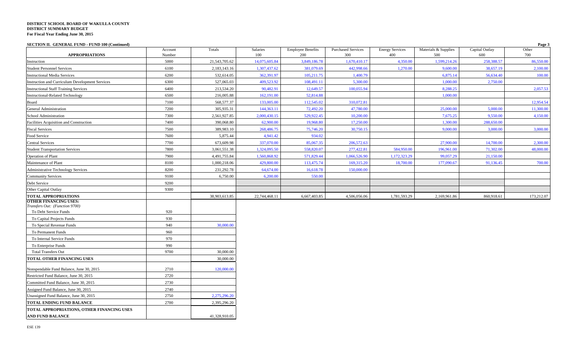**SECTION II. GENERAL FUND - FUND 100 (Continued) Page 3**

| <b>APPROPRIATIONS</b>                                          | Account<br>Number | Totals        | Salaries<br>100 | <b>Employee Benefits</b><br>200 | <b>Purchased Services</b><br>300 | <b>Energy Services</b><br>400 | Materials & Supplies<br>500 | Capital Outlay<br>600 | Other<br>700 |
|----------------------------------------------------------------|-------------------|---------------|-----------------|---------------------------------|----------------------------------|-------------------------------|-----------------------------|-----------------------|--------------|
| Instruction                                                    | 5000              | 21,543,705.62 | 14,075,605.84   | 3,849,186.78                    | 1,670,410.17                     | 4,350.00                      | 1,599,214.26                | 258,388.57            | 86,550.00    |
| <b>Student Personnel Services</b>                              | 6100              | 2,183,143.16  | 1,307,437.62    | 381,079.69                      | 442,998.66                       | 1,270.00                      | 9,600.00                    | 38,657.19             | 2,100.00     |
| <b>Instructional Media Services</b>                            | 6200              | 532,614.05    | 362,391.97      | 105,211.75                      | 1,400.79                         |                               | 6,875.14                    | 56,634.40             | 100.00       |
| Instruction and Curriculum Development Services                | 6300              | 527,065.03    | 409,523.92      | 108,491.11                      | 5,300.00                         |                               | 1,000.00                    | 2,750.00              |              |
| <b>Instructional Staff Training Services</b>                   | 6400              | 213,534.20    | 90,482.91       | 12,649.57                       | 100,055.94                       |                               | 8,288.25                    |                       | 2,057.53     |
| <b>Instructional-Related Technology</b>                        | 6500              | 216,005.88    | 162,191.00      | 52,814.88                       |                                  |                               | 1,000.00                    |                       |              |
| Board                                                          | 7100              | 568,577.37    | 133,005.00      | 112,545.02                      | 310,072.81                       |                               |                             |                       | 12,954.54    |
| General Administration                                         | 7200              | 305,935.31    | 144,363.11      | 72,492.20                       | 47,780.00                        |                               | 25,000.00                   | 5,000.00              | 11,300.00    |
| School Administration                                          | 7300              | 2,561,927.85  | 2,000,430.15    | 529,922.45                      | 10,200.00                        |                               | 7,675.25                    | 9,550.00              | 4,150.00     |
| Facilities Acquisition and Construction                        | 7400              | 390,068.80    | 62,900.00       | 19,968.80                       | 17,250.00                        |                               | 1,300.00                    | 288,650.00            |              |
| <b>Fiscal Services</b>                                         | 7500              | 389,983.10    | 268,486.75      | 75,746.20                       | 30,750.15                        |                               | 9,000.00                    | 3,000.00              | 3,000.00     |
| Food Service                                                   | 7600              | 5,875.44      | 4,941.42        | 934.02                          |                                  |                               |                             |                       |              |
| <b>Central Services</b>                                        | 7700              | 673,609.98    | 337,070.00      | 85,067.35                       | 206,572.63                       |                               | 27,900.00                   | 14,700.00             | 2,300.00     |
| <b>Student Transportation Services</b>                         | 7800              | 3,061,551.38  | 1,324,095.50    | 558,820.07                      | 277,422.81                       | 584,950.00                    | 196,961.00                  | 71,302.00             | 48,000.00    |
| Operation of Plant                                             | 7900              | 4,491,755.84  | 1,560,868.92    | 571,829.44                      | 1,066,526.90                     | 1,172,323.29                  | 99,057.29                   | 21,150.00             |              |
| Maintenance of Plant                                           | 8100              | 1,000,218.06  | 429,800.00      | 113,475.74                      | 169,315.20                       | 18,700.00                     | 177,090.67                  | 91,136.45             | 700.00       |
| <b>Administrative Technology Services</b>                      | 8200              | 231,292.78    | 64,674.00       | 16,618.78                       | 150,000.00                       |                               |                             |                       |              |
| <b>Community Services</b>                                      | 9100              | 6,750.00      | 6,200.00        | 550.00                          |                                  |                               |                             |                       |              |
| Debt Service                                                   | 9200              |               |                 |                                 |                                  |                               |                             |                       |              |
| Other Capital Outlay                                           | 9300              |               |                 |                                 |                                  |                               |                             |                       |              |
| <b>TOTAL APPROPRIATIONS</b>                                    |                   | 38,903,613.85 | 22,744,468.11   | 6,667,403.85                    | 4,506,056.06                     | 1,781,593.29                  | 2,169,961.86                | 860,918.61            | 173,212.07   |
| <b>OTHER FINANCING USES:</b><br>Transfers Out: (Function 9700) |                   |               |                 |                                 |                                  |                               |                             |                       |              |
| To Debt Service Funds                                          | 920               |               |                 |                                 |                                  |                               |                             |                       |              |
| To Capital Projects Funds                                      | 930               |               |                 |                                 |                                  |                               |                             |                       |              |
| To Special Revenue Funds                                       | 940               | 30,000.00     |                 |                                 |                                  |                               |                             |                       |              |
| To Permanent Funds                                             | 960               |               |                 |                                 |                                  |                               |                             |                       |              |
| To Internal Service Funds                                      | 970               |               |                 |                                 |                                  |                               |                             |                       |              |
| To Enterprise Funds                                            | 990               |               |                 |                                 |                                  |                               |                             |                       |              |
| <b>Total Transfers Out</b>                                     | 9700              | 30,000.00     |                 |                                 |                                  |                               |                             |                       |              |
| TOTAL OTHER FINANCING USES                                     |                   | 30,000.00     |                 |                                 |                                  |                               |                             |                       |              |
| Nonspendable Fund Balance, June 30, 2015                       | 2710              | 120,000.00    |                 |                                 |                                  |                               |                             |                       |              |
| Restricted Fund Balance, June 30, 2015                         | 2720              |               |                 |                                 |                                  |                               |                             |                       |              |
| Committed Fund Balance, June 30, 2015                          | 2730              |               |                 |                                 |                                  |                               |                             |                       |              |
| Assigned Fund Balance, June 30, 2015                           | 2740              |               |                 |                                 |                                  |                               |                             |                       |              |
| Unassigned Fund Balance, June 30, 2015                         | 2750              | 2,275,296.20  |                 |                                 |                                  |                               |                             |                       |              |
| TOTAL ENDING FUND BALANCE                                      | 2700              | 2,395,296.20  |                 |                                 |                                  |                               |                             |                       |              |
| TOTAL APPROPRIATIONS, OTHER FINANCING USES                     |                   |               |                 |                                 |                                  |                               |                             |                       |              |
| <b>AND FUND BALANCE</b>                                        |                   | 41,328,910.05 |                 |                                 |                                  |                               |                             |                       |              |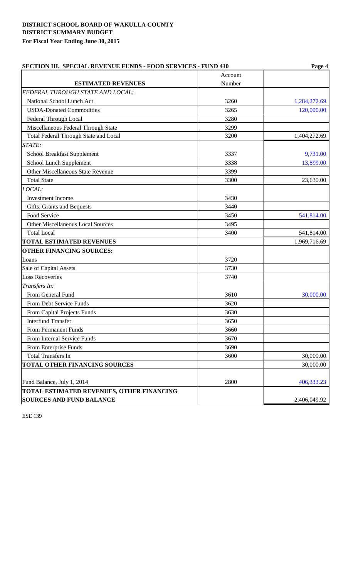| <b>SECTION III. SPECIAL REVENUE FUNDS - FOOD SERVICES - FUND 410</b> | Page 4  |              |  |
|----------------------------------------------------------------------|---------|--------------|--|
|                                                                      | Account |              |  |
| <b>ESTIMATED REVENUES</b>                                            | Number  |              |  |
| FEDERAL THROUGH STATE AND LOCAL:                                     |         |              |  |
| National School Lunch Act                                            | 3260    | 1,284,272.69 |  |
| <b>USDA-Donated Commodities</b>                                      | 3265    | 120,000.00   |  |
| Federal Through Local                                                | 3280    |              |  |
| Miscellaneous Federal Through State                                  | 3299    |              |  |
| Total Federal Through State and Local                                | 3200    | 1,404,272.69 |  |
| STATE:                                                               |         |              |  |
| <b>School Breakfast Supplement</b>                                   | 3337    | 9,731.00     |  |
| School Lunch Supplement                                              | 3338    | 13,899.00    |  |
| <b>Other Miscellaneous State Revenue</b>                             | 3399    |              |  |
| <b>Total State</b>                                                   | 3300    | 23,630.00    |  |
| LOCAL:                                                               |         |              |  |
| <b>Investment Income</b>                                             | 3430    |              |  |
| Gifts, Grants and Bequests                                           | 3440    |              |  |
| Food Service                                                         | 3450    | 541,814.00   |  |
| Other Miscellaneous Local Sources                                    | 3495    |              |  |
| <b>Total Local</b>                                                   | 3400    | 541,814.00   |  |
| <b>TOTAL ESTIMATED REVENUES</b>                                      |         | 1,969,716.69 |  |
| <b>OTHER FINANCING SOURCES:</b>                                      |         |              |  |
| Loans                                                                | 3720    |              |  |
| Sale of Capital Assets                                               | 3730    |              |  |
| <b>Loss Recoveries</b>                                               | 3740    |              |  |
| Transfers In:                                                        |         |              |  |
| From General Fund                                                    | 3610    | 30,000.00    |  |
| From Debt Service Funds                                              | 3620    |              |  |
| From Capital Projects Funds                                          | 3630    |              |  |
| <b>Interfund Transfer</b>                                            | 3650    |              |  |
| From Permanent Funds                                                 | 3660    |              |  |
| From Internal Service Funds                                          | 3670    |              |  |
| From Enterprise Funds                                                | 3690    |              |  |
| <b>Total Transfers In</b>                                            | 3600    | 30,000.00    |  |
| TOTAL OTHER FINANCING SOURCES                                        |         | 30,000.00    |  |
|                                                                      |         |              |  |
| Fund Balance, July 1, 2014                                           | 2800    | 406,333.23   |  |
| TOTAL ESTIMATED REVENUES, OTHER FINANCING                            |         |              |  |
| <b>SOURCES AND FUND BALANCE</b>                                      |         | 2,406,049.92 |  |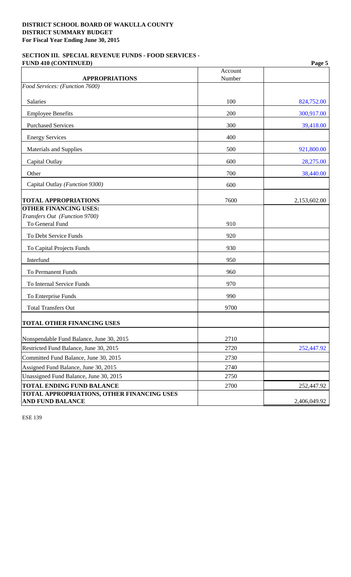### **SECTION III. SPECIAL REVENUE FUNDS - FOOD SERVICES - FUND 410 (CONTINUED) Page 5**

| <b>APPROPRIATIONS</b>                      | Account<br>Number |              |
|--------------------------------------------|-------------------|--------------|
| Food Services: (Function 7600)             |                   |              |
|                                            |                   |              |
| Salaries                                   | 100               | 824,752.00   |
| <b>Employee Benefits</b>                   | 200               | 300,917.00   |
| <b>Purchased Services</b>                  | 300               | 39,418.00    |
| <b>Energy Services</b>                     | 400               |              |
| <b>Materials and Supplies</b>              | 500               | 921,800.00   |
| Capital Outlay                             | 600               | 28,275.00    |
| Other                                      | 700               | 38,440.00    |
| Capital Outlay (Function 9300)             | 600               |              |
| <b>TOTAL APPROPRIATIONS</b>                | 7600              | 2,153,602.00 |
| <b>OTHER FINANCING USES:</b>               |                   |              |
| Transfers Out (Function 9700)              |                   |              |
| To General Fund                            | 910               |              |
| To Debt Service Funds                      | 920               |              |
| To Capital Projects Funds                  | 930               |              |
| Interfund                                  | 950               |              |
| <b>To Permanent Funds</b>                  | 960               |              |
| To Internal Service Funds                  | 970               |              |
| To Enterprise Funds                        | 990               |              |
| <b>Total Transfers Out</b>                 | 9700              |              |
| TOTAL OTHER FINANCING USES                 |                   |              |
| Nonspendable Fund Balance, June 30, 2015   | 2710              |              |
| Restricted Fund Balance, June 30, 2015     | 2720              | 252,447.92   |
| Committed Fund Balance, June 30, 2015      | 2730              |              |
| Assigned Fund Balance, June 30, 2015       | 2740              |              |
| Unassigned Fund Balance, June 30, 2015     | 2750              |              |
| <b>TOTAL ENDING FUND BALANCE</b>           | 2700              | 252,447.92   |
| TOTAL APPROPRIATIONS, OTHER FINANCING USES |                   |              |
| <b>AND FUND BALANCE</b>                    |                   | 2,406,049.92 |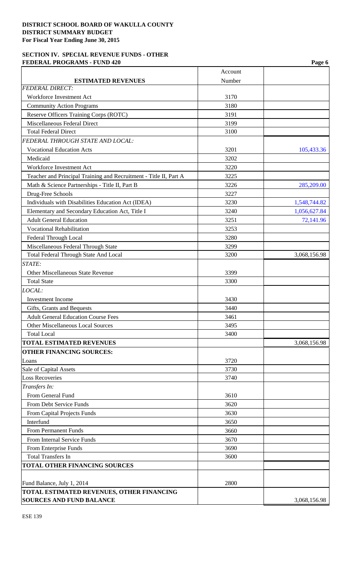### **SECTION IV. SPECIAL REVENUE FUNDS - OTHER FEDERAL PROGRAMS - FUND 420** Page 6

|                                                                   | Account |              |
|-------------------------------------------------------------------|---------|--------------|
| <b>ESTIMATED REVENUES</b>                                         | Number  |              |
| <b>FEDERAL DIRECT:</b>                                            |         |              |
| Workforce Investment Act                                          | 3170    |              |
| <b>Community Action Programs</b>                                  | 3180    |              |
| Reserve Officers Training Corps (ROTC)                            | 3191    |              |
| <b>Miscellaneous Federal Direct</b>                               | 3199    |              |
| <b>Total Federal Direct</b>                                       | 3100    |              |
| FEDERAL THROUGH STATE AND LOCAL:                                  |         |              |
| <b>Vocational Education Acts</b>                                  | 3201    | 105,433.36   |
| Medicaid                                                          | 3202    |              |
| Workforce Investment Act                                          | 3220    |              |
| Teacher and Principal Training and Recruitment - Title II, Part A | 3225    |              |
| Math & Science Partnerships - Title II, Part B                    | 3226    | 285,209.00   |
| Drug-Free Schools                                                 | 3227    |              |
| Individuals with Disabilities Education Act (IDEA)                | 3230    | 1,548,744.82 |
| Elementary and Secondary Education Act, Title I                   | 3240    | 1,056,627.84 |
| <b>Adult General Education</b>                                    | 3251    | 72,141.96    |
| <b>Vocational Rehabilitation</b>                                  | 3253    |              |
| Federal Through Local                                             | 3280    |              |
| Miscellaneous Federal Through State                               | 3299    |              |
| Total Federal Through State And Local                             | 3200    | 3,068,156.98 |
| STATE:                                                            |         |              |
| <b>Other Miscellaneous State Revenue</b>                          | 3399    |              |
| <b>Total State</b>                                                | 3300    |              |
| LOCAL:                                                            |         |              |
| <b>Investment Income</b>                                          | 3430    |              |
| Gifts, Grants and Bequests                                        | 3440    |              |
| <b>Adult General Education Course Fees</b>                        | 3461    |              |
| Other Miscellaneous Local Sources                                 | 3495    |              |
| <b>Total Local</b>                                                | 3400    |              |
| <b>TOTAL ESTIMATED REVENUES</b>                                   |         | 3,068,156.98 |
| <b>OTHER FINANCING SOURCES:</b>                                   |         |              |
| Loans                                                             | 3720    |              |
| Sale of Capital Assets                                            | 3730    |              |
| <b>Loss Recoveries</b>                                            | 3740    |              |
| Transfers In:                                                     |         |              |
| From General Fund                                                 | 3610    |              |
| From Debt Service Funds                                           | 3620    |              |
| From Capital Projects Funds                                       | 3630    |              |
| Interfund                                                         | 3650    |              |
| <b>From Permanent Funds</b>                                       | 3660    |              |
| From Internal Service Funds                                       | 3670    |              |
| From Enterprise Funds                                             | 3690    |              |
| <b>Total Transfers In</b>                                         | 3600    |              |
| <b>TOTAL OTHER FINANCING SOURCES</b>                              |         |              |
|                                                                   |         |              |
| Fund Balance, July 1, 2014                                        | 2800    |              |
| TOTAL ESTIMATED REVENUES, OTHER FINANCING                         |         |              |
| <b>SOURCES AND FUND BALANCE</b>                                   |         | 3,068,156.98 |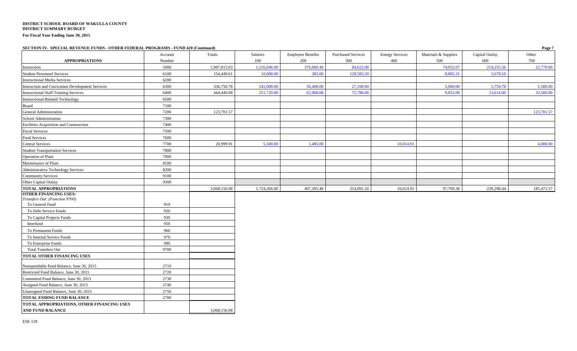**SECTION IV. SPECIAL REVENUE FUNDS - OTHER FEDERAL PROGRAMS - FUND 420 (Continued) Page 7**

| $\mu$                                                  | Account | Totals       | Salaries     | <b>Employee Benefits</b> | <b>Purchased Services</b> | <b>Energy Services</b> | Materials & Supplies | Capital Outlay | $    -$<br>Other |
|--------------------------------------------------------|---------|--------------|--------------|--------------------------|---------------------------|------------------------|----------------------|----------------|------------------|
| <b>APPROPRIATIONS</b>                                  | Number  |              | 100          | 200                      | 300                       | 400                    | 500                  | 600            | 700              |
| Instruction                                            | 5000    | 1,987,815.03 | 1,216,046.00 | 376,069.40               | 84,622.00                 |                        | 74,052.07            | 214,255.56     | 22,770.00        |
| <b>Student Personnel Services</b>                      | 6100    | 154,449.61   | 10,000.00    | 383.00                   | 129,583.20                |                        | 8,805.31             | 5,678.10       |                  |
| <b>Instructional Media Services</b>                    | 6200    |              |              |                          |                           |                        |                      |                |                  |
| <b>Instruction and Curriculum Development Services</b> | 6300    | 336,750.78   | 241,000.00   | 56,400.00                | 27,100.00                 |                        | 5,000.00             | 5,750.78       | 1,500.00         |
| <b>Instructional Staff Training Services</b>           | 6400    | 444,440.08   | 251,720.00   | 62,968.08                | 72,786.00                 |                        | 9,852.00             | 13,614.00      | 33,500.00        |
| <b>Instructional-Related Technology</b>                | 6500    |              |              |                          |                           |                        |                      |                |                  |
| Board                                                  | 7100    |              |              |                          |                           |                        |                      |                |                  |
| General Administration                                 | 7200    | 123,701.57   |              |                          |                           |                        |                      |                | 123,701.57       |
| School Administration                                  | 7300    |              |              |                          |                           |                        |                      |                |                  |
| Facilities Acquisition and Construction                | 7400    |              |              |                          |                           |                        |                      |                |                  |
| <b>Fiscal Services</b>                                 | 7500    |              |              |                          |                           |                        |                      |                |                  |
| Food Services                                          | 7600    |              |              |                          |                           |                        |                      |                |                  |
| <b>Central Services</b>                                | 7700    | 20,999.91    | 5,500.00     | 1,485.00                 |                           | 10,014.91              |                      |                | 4,000.00         |
| <b>Student Transportation Services</b>                 | 7800    |              |              |                          |                           |                        |                      |                |                  |
| Operation of Plant                                     | 7900    |              |              |                          |                           |                        |                      |                |                  |
| Maintenance of Plant                                   | 8100    |              |              |                          |                           |                        |                      |                |                  |
| <b>Administrative Technology Services</b>              | 8200    |              |              |                          |                           |                        |                      |                |                  |
| <b>Community Services</b>                              | 9100    |              |              |                          |                           |                        |                      |                |                  |
| Other Capital Outlay                                   | 9300    |              |              |                          |                           |                        |                      |                |                  |
| <b>TOTAL APPROPRIATIONS</b>                            |         | 3,068,156.98 | 1,724,266.00 | 497,305.48               | 314,091.20                | 10,014.91              | 97,709.38            | 239,298.44     | 185,471.57       |
| <b>OTHER FINANCING USES:</b>                           |         |              |              |                          |                           |                        |                      |                |                  |
| Transfers Out: (Function 9700)                         |         |              |              |                          |                           |                        |                      |                |                  |
| To General Fund                                        | 910     |              |              |                          |                           |                        |                      |                |                  |
| To Debt Service Funds                                  | 920     |              |              |                          |                           |                        |                      |                |                  |
| To Capital Projects Funds                              | 930     |              |              |                          |                           |                        |                      |                |                  |
| Interfund                                              | 950     |              |              |                          |                           |                        |                      |                |                  |
| To Permanent Funds                                     | 960     |              |              |                          |                           |                        |                      |                |                  |
| To Internal Service Funds                              | 970     |              |              |                          |                           |                        |                      |                |                  |
| To Enterprise Funds                                    | 990     |              |              |                          |                           |                        |                      |                |                  |
| <b>Total Transfers Out</b>                             | 9700    |              |              |                          |                           |                        |                      |                |                  |
| TOTAL OTHER FINANCING USES                             |         |              |              |                          |                           |                        |                      |                |                  |
| Nonspendable Fund Balance, June 30, 2015               | 2710    |              |              |                          |                           |                        |                      |                |                  |
| Restricted Fund Balance, June 30, 2015                 | 2720    |              |              |                          |                           |                        |                      |                |                  |
| Committed Fund Balance, June 30, 2015                  | 2730    |              |              |                          |                           |                        |                      |                |                  |
| Assigned Fund Balance, June 30, 2015                   | 2740    |              |              |                          |                           |                        |                      |                |                  |
| Unassigned Fund Balance, June 30, 2015                 | 2750    |              |              |                          |                           |                        |                      |                |                  |
| <b>TOTAL ENDING FUND BALANCE</b>                       | 2700    |              |              |                          |                           |                        |                      |                |                  |
| TOTAL APPROPRIATIONS, OTHER FINANCING USES             |         |              |              |                          |                           |                        |                      |                |                  |
| <b>AND FUND BALANCE</b>                                |         | 3,068,156.98 |              |                          |                           |                        |                      |                |                  |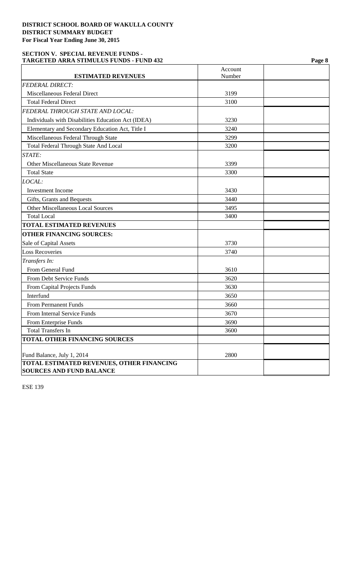### **SECTION V. SPECIAL REVENUE FUNDS - TARGETED ARRA STIMULUS FUNDS - FUND 432 Page 8**

| <b>FEDERAL DIRECT:</b><br>Miscellaneous Federal Direct<br>3199<br><b>Total Federal Direct</b><br>3100<br>FEDERAL THROUGH STATE AND LOCAL:<br>Individuals with Disabilities Education Act (IDEA)<br>3230<br>Elementary and Secondary Education Act, Title I<br>3240<br>Miscellaneous Federal Through State<br>3299<br><b>Total Federal Through State And Local</b><br>3200<br>STATE:<br><b>Other Miscellaneous State Revenue</b><br>3399<br><b>Total State</b><br>3300<br>LOCAL:<br><b>Investment Income</b><br>3430<br>3440<br>Gifts, Grants and Bequests<br><b>Other Miscellaneous Local Sources</b><br>3495<br><b>Total Local</b><br>3400<br><b>TOTAL ESTIMATED REVENUES</b><br><b>OTHER FINANCING SOURCES:</b><br>Sale of Capital Assets<br>3730<br><b>Loss Recoveries</b><br>3740<br>Transfers In:<br>From General Fund<br>3610<br>From Debt Service Funds<br>3620<br>3630<br>From Capital Projects Funds<br>Interfund<br>3650<br>From Permanent Funds<br>3660<br>From Internal Service Funds<br>3670<br>3690<br>From Enterprise Funds<br><b>Total Transfers In</b><br>3600<br>TOTAL OTHER FINANCING SOURCES | <b>ESTIMATED REVENUES</b> | Account<br>Number |  |
|------------------------------------------------------------------------------------------------------------------------------------------------------------------------------------------------------------------------------------------------------------------------------------------------------------------------------------------------------------------------------------------------------------------------------------------------------------------------------------------------------------------------------------------------------------------------------------------------------------------------------------------------------------------------------------------------------------------------------------------------------------------------------------------------------------------------------------------------------------------------------------------------------------------------------------------------------------------------------------------------------------------------------------------------------------------------------------------------------------------|---------------------------|-------------------|--|
|                                                                                                                                                                                                                                                                                                                                                                                                                                                                                                                                                                                                                                                                                                                                                                                                                                                                                                                                                                                                                                                                                                                  |                           |                   |  |
|                                                                                                                                                                                                                                                                                                                                                                                                                                                                                                                                                                                                                                                                                                                                                                                                                                                                                                                                                                                                                                                                                                                  |                           |                   |  |
|                                                                                                                                                                                                                                                                                                                                                                                                                                                                                                                                                                                                                                                                                                                                                                                                                                                                                                                                                                                                                                                                                                                  |                           |                   |  |
|                                                                                                                                                                                                                                                                                                                                                                                                                                                                                                                                                                                                                                                                                                                                                                                                                                                                                                                                                                                                                                                                                                                  |                           |                   |  |
|                                                                                                                                                                                                                                                                                                                                                                                                                                                                                                                                                                                                                                                                                                                                                                                                                                                                                                                                                                                                                                                                                                                  |                           |                   |  |
|                                                                                                                                                                                                                                                                                                                                                                                                                                                                                                                                                                                                                                                                                                                                                                                                                                                                                                                                                                                                                                                                                                                  |                           |                   |  |
|                                                                                                                                                                                                                                                                                                                                                                                                                                                                                                                                                                                                                                                                                                                                                                                                                                                                                                                                                                                                                                                                                                                  |                           |                   |  |
|                                                                                                                                                                                                                                                                                                                                                                                                                                                                                                                                                                                                                                                                                                                                                                                                                                                                                                                                                                                                                                                                                                                  |                           |                   |  |
|                                                                                                                                                                                                                                                                                                                                                                                                                                                                                                                                                                                                                                                                                                                                                                                                                                                                                                                                                                                                                                                                                                                  |                           |                   |  |
|                                                                                                                                                                                                                                                                                                                                                                                                                                                                                                                                                                                                                                                                                                                                                                                                                                                                                                                                                                                                                                                                                                                  |                           |                   |  |
|                                                                                                                                                                                                                                                                                                                                                                                                                                                                                                                                                                                                                                                                                                                                                                                                                                                                                                                                                                                                                                                                                                                  |                           |                   |  |
|                                                                                                                                                                                                                                                                                                                                                                                                                                                                                                                                                                                                                                                                                                                                                                                                                                                                                                                                                                                                                                                                                                                  |                           |                   |  |
|                                                                                                                                                                                                                                                                                                                                                                                                                                                                                                                                                                                                                                                                                                                                                                                                                                                                                                                                                                                                                                                                                                                  |                           |                   |  |
|                                                                                                                                                                                                                                                                                                                                                                                                                                                                                                                                                                                                                                                                                                                                                                                                                                                                                                                                                                                                                                                                                                                  |                           |                   |  |
|                                                                                                                                                                                                                                                                                                                                                                                                                                                                                                                                                                                                                                                                                                                                                                                                                                                                                                                                                                                                                                                                                                                  |                           |                   |  |
|                                                                                                                                                                                                                                                                                                                                                                                                                                                                                                                                                                                                                                                                                                                                                                                                                                                                                                                                                                                                                                                                                                                  |                           |                   |  |
|                                                                                                                                                                                                                                                                                                                                                                                                                                                                                                                                                                                                                                                                                                                                                                                                                                                                                                                                                                                                                                                                                                                  |                           |                   |  |
|                                                                                                                                                                                                                                                                                                                                                                                                                                                                                                                                                                                                                                                                                                                                                                                                                                                                                                                                                                                                                                                                                                                  |                           |                   |  |
|                                                                                                                                                                                                                                                                                                                                                                                                                                                                                                                                                                                                                                                                                                                                                                                                                                                                                                                                                                                                                                                                                                                  |                           |                   |  |
|                                                                                                                                                                                                                                                                                                                                                                                                                                                                                                                                                                                                                                                                                                                                                                                                                                                                                                                                                                                                                                                                                                                  |                           |                   |  |
|                                                                                                                                                                                                                                                                                                                                                                                                                                                                                                                                                                                                                                                                                                                                                                                                                                                                                                                                                                                                                                                                                                                  |                           |                   |  |
|                                                                                                                                                                                                                                                                                                                                                                                                                                                                                                                                                                                                                                                                                                                                                                                                                                                                                                                                                                                                                                                                                                                  |                           |                   |  |
|                                                                                                                                                                                                                                                                                                                                                                                                                                                                                                                                                                                                                                                                                                                                                                                                                                                                                                                                                                                                                                                                                                                  |                           |                   |  |
|                                                                                                                                                                                                                                                                                                                                                                                                                                                                                                                                                                                                                                                                                                                                                                                                                                                                                                                                                                                                                                                                                                                  |                           |                   |  |
|                                                                                                                                                                                                                                                                                                                                                                                                                                                                                                                                                                                                                                                                                                                                                                                                                                                                                                                                                                                                                                                                                                                  |                           |                   |  |
|                                                                                                                                                                                                                                                                                                                                                                                                                                                                                                                                                                                                                                                                                                                                                                                                                                                                                                                                                                                                                                                                                                                  |                           |                   |  |
|                                                                                                                                                                                                                                                                                                                                                                                                                                                                                                                                                                                                                                                                                                                                                                                                                                                                                                                                                                                                                                                                                                                  |                           |                   |  |
|                                                                                                                                                                                                                                                                                                                                                                                                                                                                                                                                                                                                                                                                                                                                                                                                                                                                                                                                                                                                                                                                                                                  |                           |                   |  |
|                                                                                                                                                                                                                                                                                                                                                                                                                                                                                                                                                                                                                                                                                                                                                                                                                                                                                                                                                                                                                                                                                                                  |                           |                   |  |
|                                                                                                                                                                                                                                                                                                                                                                                                                                                                                                                                                                                                                                                                                                                                                                                                                                                                                                                                                                                                                                                                                                                  |                           |                   |  |
|                                                                                                                                                                                                                                                                                                                                                                                                                                                                                                                                                                                                                                                                                                                                                                                                                                                                                                                                                                                                                                                                                                                  |                           |                   |  |
| 2800                                                                                                                                                                                                                                                                                                                                                                                                                                                                                                                                                                                                                                                                                                                                                                                                                                                                                                                                                                                                                                                                                                             |                           |                   |  |
| Fund Balance, July 1, 2014<br>TOTAL ESTIMATED REVENUES, OTHER FINANCING                                                                                                                                                                                                                                                                                                                                                                                                                                                                                                                                                                                                                                                                                                                                                                                                                                                                                                                                                                                                                                          |                           |                   |  |
| <b>SOURCES AND FUND BALANCE</b>                                                                                                                                                                                                                                                                                                                                                                                                                                                                                                                                                                                                                                                                                                                                                                                                                                                                                                                                                                                                                                                                                  |                           |                   |  |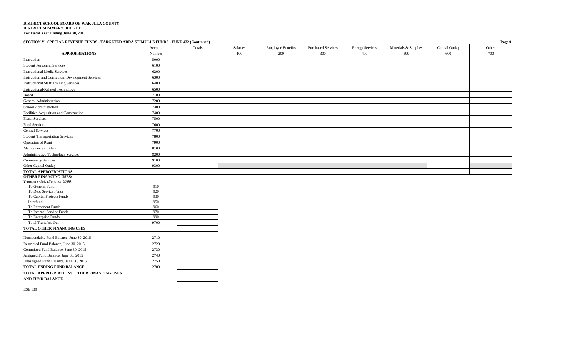| SECTION V. SPECIAL REVENUE FUNDS - TARGETED ARRA STIMULUS FUNDS - FUND 432 (Continued) |            |        |          |                          |                           |                        |                      |                | Page 9 |
|----------------------------------------------------------------------------------------|------------|--------|----------|--------------------------|---------------------------|------------------------|----------------------|----------------|--------|
|                                                                                        | Account    | Totals | Salaries | <b>Employee Benefits</b> | <b>Purchased Services</b> | <b>Energy Services</b> | Materials & Supplies | Capital Outlay | Other  |
| <b>APPROPRIATIONS</b>                                                                  | Number     |        | 100      | 200                      | 300                       | 400                    | 500                  | 600            | 700    |
| Instruction                                                                            | 5000       |        |          |                          |                           |                        |                      |                |        |
| <b>Student Personnel Services</b>                                                      | 6100       |        |          |                          |                           |                        |                      |                |        |
| <b>Instructional Media Services</b>                                                    | 6200       |        |          |                          |                           |                        |                      |                |        |
| Instruction and Curriculum Development Services                                        | 6300       |        |          |                          |                           |                        |                      |                |        |
| <b>Instructional Staff Training Services</b>                                           | 6400       |        |          |                          |                           |                        |                      |                |        |
| <b>Instructional-Related Technology</b>                                                | 6500       |        |          |                          |                           |                        |                      |                |        |
| Board                                                                                  | 7100       |        |          |                          |                           |                        |                      |                |        |
| General Administration                                                                 | 7200       |        |          |                          |                           |                        |                      |                |        |
| School Administration                                                                  | 7300       |        |          |                          |                           |                        |                      |                |        |
| Facilities Acquisition and Construction                                                | 7400       |        |          |                          |                           |                        |                      |                |        |
| <b>Fiscal Services</b>                                                                 | 7500       |        |          |                          |                           |                        |                      |                |        |
| Food Services                                                                          | 7600       |        |          |                          |                           |                        |                      |                |        |
| <b>Central Services</b>                                                                | 7700       |        |          |                          |                           |                        |                      |                |        |
| <b>Student Transportation Services</b>                                                 | 7800       |        |          |                          |                           |                        |                      |                |        |
| Operation of Plant                                                                     | 7900       |        |          |                          |                           |                        |                      |                |        |
| Maintenance of Plant                                                                   | 8100       |        |          |                          |                           |                        |                      |                |        |
| Administrative Technology Services                                                     | 8200       |        |          |                          |                           |                        |                      |                |        |
| <b>Community Services</b>                                                              | 9100       |        |          |                          |                           |                        |                      |                |        |
| Other Capital Outlay                                                                   | 9300       |        |          |                          |                           |                        |                      |                |        |
| <b>TOTAL APPROPRIATIONS</b>                                                            |            |        |          |                          |                           |                        |                      |                |        |
| <b>OTHER FINANCING USES:</b>                                                           |            |        |          |                          |                           |                        |                      |                |        |
| Transfers Out: (Function 9700)                                                         |            |        |          |                          |                           |                        |                      |                |        |
| To General Fund<br>To Debt Service Funds                                               | 910<br>920 |        |          |                          |                           |                        |                      |                |        |
| To Capital Projects Funds                                                              | 930        |        |          |                          |                           |                        |                      |                |        |
| Interfund                                                                              | 950        |        |          |                          |                           |                        |                      |                |        |
| To Permanent Funds                                                                     | 960        |        |          |                          |                           |                        |                      |                |        |
| To Internal Service Funds                                                              | 970        |        |          |                          |                           |                        |                      |                |        |
| To Enterprise Funds                                                                    | 990        |        |          |                          |                           |                        |                      |                |        |
| <b>Total Transfers Out</b>                                                             | 9700       |        |          |                          |                           |                        |                      |                |        |
| TOTAL OTHER FINANCING USES                                                             |            |        |          |                          |                           |                        |                      |                |        |
| Nonspendable Fund Balance, June 30, 2015                                               | 2710       |        |          |                          |                           |                        |                      |                |        |
| Restricted Fund Balance, June 30, 2015                                                 | 2720       |        |          |                          |                           |                        |                      |                |        |
| Committed Fund Balance, June 30, 2015                                                  | 2730       |        |          |                          |                           |                        |                      |                |        |
| Assigned Fund Balance, June 30, 2015                                                   | 2740       |        |          |                          |                           |                        |                      |                |        |
| Unassigned Fund Balance, June 30, 2015                                                 | 2750       |        |          |                          |                           |                        |                      |                |        |
| <b>TOTAL ENDING FUND BALANCE</b>                                                       | 2700       |        |          |                          |                           |                        |                      |                |        |
| TOTAL APPROPRIATIONS, OTHER FINANCING USES                                             |            |        |          |                          |                           |                        |                      |                |        |
| <b>AND FUND BALANCE</b>                                                                |            |        |          |                          |                           |                        |                      |                |        |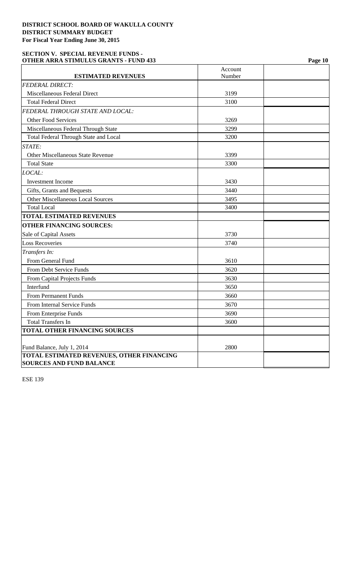### **SECTION V. SPECIAL REVENUE FUNDS - OTHER ARRA STIMULUS GRANTS - FUND 433 Page 10**

|                                                  | Account |  |
|--------------------------------------------------|---------|--|
| <b>ESTIMATED REVENUES</b>                        | Number  |  |
| <b>FEDERAL DIRECT:</b>                           |         |  |
| Miscellaneous Federal Direct                     | 3199    |  |
| <b>Total Federal Direct</b>                      | 3100    |  |
| FEDERAL THROUGH STATE AND LOCAL:                 |         |  |
| <b>Other Food Services</b>                       | 3269    |  |
| Miscellaneous Federal Through State              | 3299    |  |
| <b>Total Federal Through State and Local</b>     | 3200    |  |
| STATE:                                           |         |  |
| <b>Other Miscellaneous State Revenue</b>         | 3399    |  |
| <b>Total State</b>                               | 3300    |  |
| LOCAL:                                           |         |  |
| <b>Investment Income</b>                         | 3430    |  |
| Gifts, Grants and Bequests                       | 3440    |  |
| <b>Other Miscellaneous Local Sources</b>         | 3495    |  |
| <b>Total Local</b>                               | 3400    |  |
| <b>TOTAL ESTIMATED REVENUES</b>                  |         |  |
| <b>OTHER FINANCING SOURCES:</b>                  |         |  |
| Sale of Capital Assets                           | 3730    |  |
| <b>Loss Recoveries</b>                           | 3740    |  |
| Transfers In:                                    |         |  |
| From General Fund                                | 3610    |  |
| From Debt Service Funds                          | 3620    |  |
| From Capital Projects Funds                      | 3630    |  |
| Interfund                                        | 3650    |  |
| <b>From Permanent Funds</b>                      | 3660    |  |
| From Internal Service Funds                      | 3670    |  |
| From Enterprise Funds                            | 3690    |  |
| <b>Total Transfers In</b>                        | 3600    |  |
| <b>TOTAL OTHER FINANCING SOURCES</b>             |         |  |
|                                                  |         |  |
| Fund Balance, July 1, 2014                       | 2800    |  |
| <b>TOTAL ESTIMATED REVENUES, OTHER FINANCING</b> |         |  |
| <b>SOURCES AND FUND BALANCE</b>                  |         |  |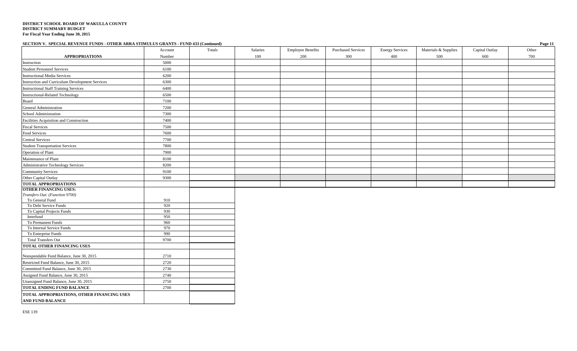### **SECTION V. SPECIAL REVENUE FUNDS - OTHER ARRA STIMULUS GRANTS - FUND 433 (Continued) Page 11**

|                                                                       | Account    | Totals | Salaries | <b>Employee Benefits</b> | <b>Purchased Services</b> | <b>Energy Services</b> | Materials & Supplies | Capital Outlay | $   -$<br>Other |
|-----------------------------------------------------------------------|------------|--------|----------|--------------------------|---------------------------|------------------------|----------------------|----------------|-----------------|
| <b>APPROPRIATIONS</b>                                                 | Number     |        | 100      | 200                      | 300                       | 400                    | 500                  | 600            | 700             |
| Instruction                                                           | 5000       |        |          |                          |                           |                        |                      |                |                 |
| <b>Student Personnel Services</b>                                     | 6100       |        |          |                          |                           |                        |                      |                |                 |
| <b>Instructional Media Services</b>                                   | 6200       |        |          |                          |                           |                        |                      |                |                 |
| Instruction and Curriculum Development Services                       | 6300       |        |          |                          |                           |                        |                      |                |                 |
| <b>Instructional Staff Training Services</b>                          | 6400       |        |          |                          |                           |                        |                      |                |                 |
| Instructional-Related Technology                                      | 6500       |        |          |                          |                           |                        |                      |                |                 |
| Board                                                                 | 7100       |        |          |                          |                           |                        |                      |                |                 |
| General Administration                                                | 7200       |        |          |                          |                           |                        |                      |                |                 |
| School Administration                                                 | 7300       |        |          |                          |                           |                        |                      |                |                 |
| Facilities Acquisition and Construction                               | 7400       |        |          |                          |                           |                        |                      |                |                 |
| <b>Fiscal Services</b>                                                | 7500       |        |          |                          |                           |                        |                      |                |                 |
| Food Services                                                         | 7600       |        |          |                          |                           |                        |                      |                |                 |
| <b>Central Services</b>                                               | 7700       |        |          |                          |                           |                        |                      |                |                 |
| <b>Student Transportation Services</b>                                | 7800       |        |          |                          |                           |                        |                      |                |                 |
| Operation of Plant                                                    | 7900       |        |          |                          |                           |                        |                      |                |                 |
| Maintenance of Plant                                                  | 8100       |        |          |                          |                           |                        |                      |                |                 |
| Administrative Technology Services                                    | 8200       |        |          |                          |                           |                        |                      |                |                 |
| <b>Community Services</b>                                             | 9100       |        |          |                          |                           |                        |                      |                |                 |
| Other Capital Outlay                                                  | 9300       |        |          |                          |                           |                        |                      |                |                 |
| <b>TOTAL APPROPRIATIONS</b>                                           |            |        |          |                          |                           |                        |                      |                |                 |
| <b>OTHER FINANCING USES:</b>                                          |            |        |          |                          |                           |                        |                      |                |                 |
| Transfers Out: (Function 9700)                                        |            |        |          |                          |                           |                        |                      |                |                 |
| To General Fund                                                       | 910        |        |          |                          |                           |                        |                      |                |                 |
| To Debt Service Funds                                                 | 920        |        |          |                          |                           |                        |                      |                |                 |
| To Capital Projects Funds<br>Interfund                                | 930<br>950 |        |          |                          |                           |                        |                      |                |                 |
| To Permanent Funds                                                    | 960        |        |          |                          |                           |                        |                      |                |                 |
| To Internal Service Funds                                             | 970        |        |          |                          |                           |                        |                      |                |                 |
| To Enterprise Funds                                                   | 990        |        |          |                          |                           |                        |                      |                |                 |
| <b>Total Transfers Out</b>                                            | 9700       |        |          |                          |                           |                        |                      |                |                 |
| TOTAL OTHER FINANCING USES                                            |            |        |          |                          |                           |                        |                      |                |                 |
|                                                                       |            |        |          |                          |                           |                        |                      |                |                 |
| Nonspendable Fund Balance, June 30, 2015                              | 2710       |        |          |                          |                           |                        |                      |                |                 |
| Restricted Fund Balance, June 30, 2015                                | 2720       |        |          |                          |                           |                        |                      |                |                 |
| Committed Fund Balance, June 30, 2015                                 | 2730       |        |          |                          |                           |                        |                      |                |                 |
| Assigned Fund Balance, June 30, 2015                                  | 2740       |        |          |                          |                           |                        |                      |                |                 |
| Unassigned Fund Balance, June 30, 2015                                | 2750       |        |          |                          |                           |                        |                      |                |                 |
| <b>TOTAL ENDING FUND BALANCE</b>                                      | 2700       |        |          |                          |                           |                        |                      |                |                 |
| TOTAL APPROPRIATIONS, OTHER FINANCING USES<br><b>AND FUND BALANCE</b> |            |        |          |                          |                           |                        |                      |                |                 |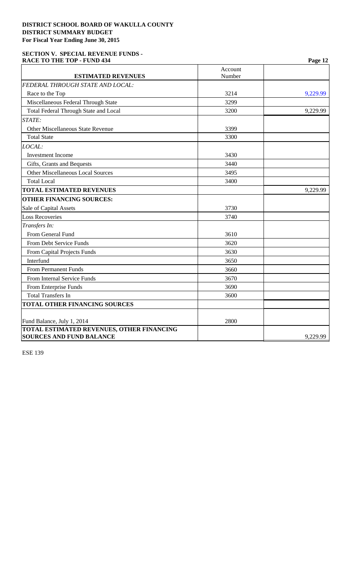### **SECTION V. SPECIAL REVENUE FUNDS - RACE TO THE TOP - FUND 434 Page 12**

| <b>ESTIMATED REVENUES</b>                                                           | Account<br>Number |          |
|-------------------------------------------------------------------------------------|-------------------|----------|
| FEDERAL THROUGH STATE AND LOCAL:                                                    |                   |          |
| Race to the Top                                                                     | 3214              | 9,229.99 |
| Miscellaneous Federal Through State                                                 | 3299              |          |
| <b>Total Federal Through State and Local</b>                                        | 3200              | 9,229.99 |
| STATE:                                                                              |                   |          |
| Other Miscellaneous State Revenue                                                   | 3399              |          |
| <b>Total State</b>                                                                  | 3300              |          |
| LOCAL:                                                                              |                   |          |
| <b>Investment Income</b>                                                            | 3430              |          |
| Gifts, Grants and Bequests                                                          | 3440              |          |
| <b>Other Miscellaneous Local Sources</b>                                            | 3495              |          |
| <b>Total Local</b>                                                                  | 3400              |          |
| <b>TOTAL ESTIMATED REVENUES</b>                                                     |                   | 9,229.99 |
| <b>OTHER FINANCING SOURCES:</b>                                                     |                   |          |
| Sale of Capital Assets                                                              | 3730              |          |
| <b>Loss Recoveries</b>                                                              | 3740              |          |
| Transfers In:                                                                       |                   |          |
| From General Fund                                                                   | 3610              |          |
| From Debt Service Funds                                                             | 3620              |          |
| From Capital Projects Funds                                                         | 3630              |          |
| Interfund                                                                           | 3650              |          |
| From Permanent Funds                                                                | 3660              |          |
| From Internal Service Funds                                                         | 3670              |          |
| From Enterprise Funds                                                               | 3690              |          |
| <b>Total Transfers In</b>                                                           | 3600              |          |
| <b>TOTAL OTHER FINANCING SOURCES</b>                                                |                   |          |
| Fund Balance, July 1, 2014                                                          | 2800              |          |
| <b>TOTAL ESTIMATED REVENUES, OTHER FINANCING</b><br><b>SOURCES AND FUND BALANCE</b> |                   | 9,229.99 |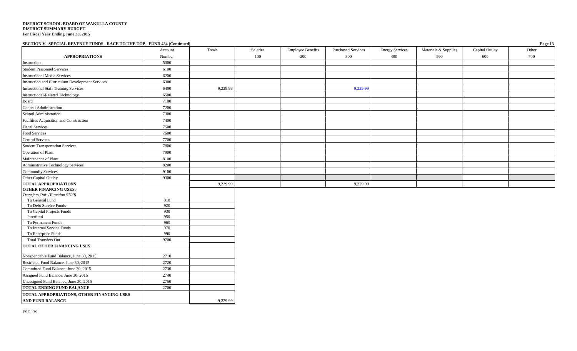**SECTION V. SPECIAL REVENUE FUNDS - RACE TO THE TOP - FUND 434 (Continued) Page 13**

| <b>APPROPRIATIONS</b>                           | Account<br>Number | Totals   | Salaries<br>100 | <b>Employee Benefits</b><br>200 | <b>Purchased Services</b><br>300 | <b>Energy Services</b><br>400 | Materials & Supplies<br>500 | Capital Outlay<br>600 | Other<br>700 |
|-------------------------------------------------|-------------------|----------|-----------------|---------------------------------|----------------------------------|-------------------------------|-----------------------------|-----------------------|--------------|
| Instruction                                     | 5000              |          |                 |                                 |                                  |                               |                             |                       |              |
| <b>Student Personnel Services</b>               | 6100              |          |                 |                                 |                                  |                               |                             |                       |              |
| <b>Instructional Media Services</b>             | 6200              |          |                 |                                 |                                  |                               |                             |                       |              |
| Instruction and Curriculum Development Services | 6300              |          |                 |                                 |                                  |                               |                             |                       |              |
| <b>Instructional Staff Training Services</b>    | 6400              | 9,229.99 |                 |                                 | 9,229.99                         |                               |                             |                       |              |
| <b>Instructional-Related Technology</b>         | 6500              |          |                 |                                 |                                  |                               |                             |                       |              |
| Board                                           | 7100              |          |                 |                                 |                                  |                               |                             |                       |              |
| General Administration                          | 7200              |          |                 |                                 |                                  |                               |                             |                       |              |
| School Administration                           | 7300              |          |                 |                                 |                                  |                               |                             |                       |              |
| Facilities Acquisition and Construction         | 7400              |          |                 |                                 |                                  |                               |                             |                       |              |
| <b>Fiscal Services</b>                          | 7500              |          |                 |                                 |                                  |                               |                             |                       |              |
| Food Services                                   | 7600              |          |                 |                                 |                                  |                               |                             |                       |              |
| <b>Central Services</b>                         | 7700              |          |                 |                                 |                                  |                               |                             |                       |              |
| <b>Student Transportation Services</b>          | 7800              |          |                 |                                 |                                  |                               |                             |                       |              |
| Operation of Plant                              | 7900              |          |                 |                                 |                                  |                               |                             |                       |              |
| Maintenance of Plant                            | 8100              |          |                 |                                 |                                  |                               |                             |                       |              |
| Administrative Technology Services              | 8200              |          |                 |                                 |                                  |                               |                             |                       |              |
| <b>Community Services</b>                       | 9100              |          |                 |                                 |                                  |                               |                             |                       |              |
| Other Capital Outlay                            | 9300              |          |                 |                                 |                                  |                               |                             |                       |              |
| <b>TOTAL APPROPRIATIONS</b>                     |                   | 9,229.99 |                 |                                 | 9,229.99                         |                               |                             |                       |              |
| <b>OTHER FINANCING USES:</b>                    |                   |          |                 |                                 |                                  |                               |                             |                       |              |
| Transfers Out: (Function 9700)                  |                   |          |                 |                                 |                                  |                               |                             |                       |              |
| To General Fund<br>To Debt Service Funds        | 910<br>920        |          |                 |                                 |                                  |                               |                             |                       |              |
| To Capital Projects Funds                       | 930               |          |                 |                                 |                                  |                               |                             |                       |              |
| Interfund                                       | 950               |          |                 |                                 |                                  |                               |                             |                       |              |
| To Permanent Funds                              | 960               |          |                 |                                 |                                  |                               |                             |                       |              |
| To Internal Service Funds                       | 970               |          |                 |                                 |                                  |                               |                             |                       |              |
| To Enterprise Funds                             | 990               |          |                 |                                 |                                  |                               |                             |                       |              |
| <b>Total Transfers Out</b>                      | 9700              |          |                 |                                 |                                  |                               |                             |                       |              |
| <b>TOTAL OTHER FINANCING USES</b>               |                   |          |                 |                                 |                                  |                               |                             |                       |              |
| Nonspendable Fund Balance, June 30, 2015        | 2710              |          |                 |                                 |                                  |                               |                             |                       |              |
| Restricted Fund Balance, June 30, 2015          | 2720              |          |                 |                                 |                                  |                               |                             |                       |              |
| Committed Fund Balance, June 30, 2015           | 2730              |          |                 |                                 |                                  |                               |                             |                       |              |
| Assigned Fund Balance, June 30, 2015            | 2740              |          |                 |                                 |                                  |                               |                             |                       |              |
| Unassigned Fund Balance, June 30, 2015          | 2750              |          |                 |                                 |                                  |                               |                             |                       |              |
| <b>TOTAL ENDING FUND BALANCE</b>                | 2700              |          |                 |                                 |                                  |                               |                             |                       |              |
| TOTAL APPROPRIATIONS, OTHER FINANCING USES      |                   |          |                 |                                 |                                  |                               |                             |                       |              |
| <b>AND FUND BALANCE</b>                         |                   | 9,229.99 |                 |                                 |                                  |                               |                             |                       |              |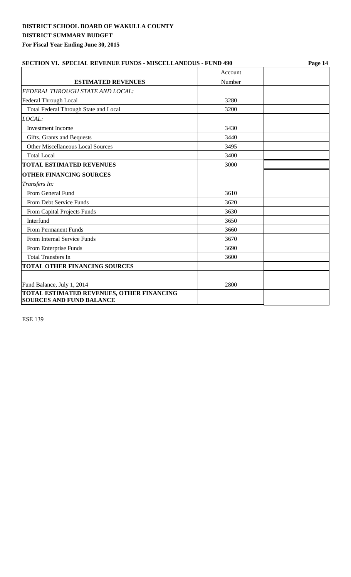| <b>SECTION VI. SPECIAL REVENUE FUNDS - MISCELLANEOUS - FUND 490</b> |         | Page 14 |  |  |
|---------------------------------------------------------------------|---------|---------|--|--|
|                                                                     | Account |         |  |  |
| <b>ESTIMATED REVENUES</b>                                           | Number  |         |  |  |
| FEDERAL THROUGH STATE AND LOCAL:                                    |         |         |  |  |
| Federal Through Local                                               | 3280    |         |  |  |
| Total Federal Through State and Local                               | 3200    |         |  |  |
| LOCAL:                                                              |         |         |  |  |
| <b>Investment</b> Income                                            | 3430    |         |  |  |
| Gifts, Grants and Bequests                                          | 3440    |         |  |  |
| <b>Other Miscellaneous Local Sources</b>                            | 3495    |         |  |  |
| <b>Total Local</b>                                                  | 3400    |         |  |  |
| <b>TOTAL ESTIMATED REVENUES</b>                                     | 3000    |         |  |  |
| <b>OTHER FINANCING SOURCES</b>                                      |         |         |  |  |
| Transfers In:                                                       |         |         |  |  |
| From General Fund                                                   | 3610    |         |  |  |
| From Debt Service Funds                                             | 3620    |         |  |  |
| From Capital Projects Funds                                         | 3630    |         |  |  |
| Interfund                                                           | 3650    |         |  |  |
| From Permanent Funds                                                | 3660    |         |  |  |
| From Internal Service Funds                                         | 3670    |         |  |  |
| From Enterprise Funds                                               | 3690    |         |  |  |
| <b>Total Transfers In</b>                                           | 3600    |         |  |  |
| <b>TOTAL OTHER FINANCING SOURCES</b>                                |         |         |  |  |
|                                                                     |         |         |  |  |
| Fund Balance, July 1, 2014                                          | 2800    |         |  |  |
| <b>TOTAL ESTIMATED REVENUES, OTHER FINANCING</b>                    |         |         |  |  |
| <b>SOURCES AND FUND BALANCE</b>                                     |         |         |  |  |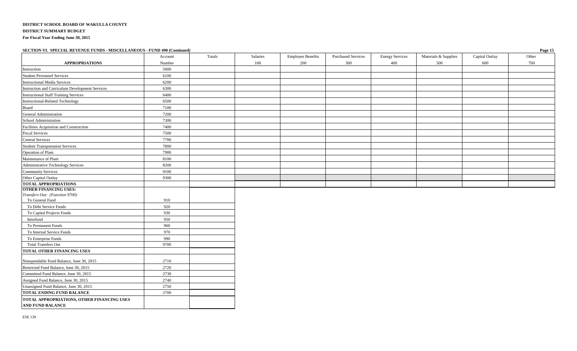| SECTION VI. SPECIAL REVENUE FUNDS - MISCELLANEOUS - FUND 490 (Continued) |         |        |          |                          |                           |                        |                      |                | Page 15 |
|--------------------------------------------------------------------------|---------|--------|----------|--------------------------|---------------------------|------------------------|----------------------|----------------|---------|
|                                                                          | Account | Totals | Salaries | <b>Employee Benefits</b> | <b>Purchased Services</b> | <b>Energy Services</b> | Materials & Supplies | Capital Outlay | Other   |
| <b>APPROPRIATIONS</b>                                                    | Number  |        | 100      | 200                      | 300                       | 400                    | 500                  | 600            | 700     |
| Instruction                                                              | 5000    |        |          |                          |                           |                        |                      |                |         |
| <b>Student Personnel Services</b>                                        | 6100    |        |          |                          |                           |                        |                      |                |         |
| <b>Instructional Media Services</b>                                      | 6200    |        |          |                          |                           |                        |                      |                |         |
| Instruction and Curriculum Development Services                          | 6300    |        |          |                          |                           |                        |                      |                |         |
| <b>Instructional Staff Training Services</b>                             | 6400    |        |          |                          |                           |                        |                      |                |         |
| Instructional-Related Technology                                         | 6500    |        |          |                          |                           |                        |                      |                |         |
| Board                                                                    | 7100    |        |          |                          |                           |                        |                      |                |         |
| General Administration                                                   | 7200    |        |          |                          |                           |                        |                      |                |         |
| School Administration                                                    | 7300    |        |          |                          |                           |                        |                      |                |         |
| Facilities Acquisition and Construction                                  | 7400    |        |          |                          |                           |                        |                      |                |         |
| <b>Fiscal Services</b>                                                   | 7500    |        |          |                          |                           |                        |                      |                |         |
| <b>Central Services</b>                                                  | 7700    |        |          |                          |                           |                        |                      |                |         |
| <b>Student Transportation Services</b>                                   | 7800    |        |          |                          |                           |                        |                      |                |         |
| Operation of Plant                                                       | 7900    |        |          |                          |                           |                        |                      |                |         |
| Maintenance of Plant                                                     | 8100    |        |          |                          |                           |                        |                      |                |         |
| Administrative Technology Services                                       | 8200    |        |          |                          |                           |                        |                      |                |         |
| <b>Community Services</b>                                                | 9100    |        |          |                          |                           |                        |                      |                |         |
| Other Capital Outlay                                                     | 9300    |        |          |                          |                           |                        |                      |                |         |
| <b>TOTAL APPROPRIATIONS</b>                                              |         |        |          |                          |                           |                        |                      |                |         |
| <b>OTHER FINANCING USES:</b>                                             |         |        |          |                          |                           |                        |                      |                |         |
| Transfers Out: (Function 9700)                                           |         |        |          |                          |                           |                        |                      |                |         |
| To General Fund                                                          | 910     |        |          |                          |                           |                        |                      |                |         |
| To Debt Service Funds                                                    | 920     |        |          |                          |                           |                        |                      |                |         |
| To Capital Projects Funds                                                | 930     |        |          |                          |                           |                        |                      |                |         |
| Interfund                                                                | 950     |        |          |                          |                           |                        |                      |                |         |
| To Permanent Funds                                                       | 960     |        |          |                          |                           |                        |                      |                |         |
| To Internal Service Funds                                                | 970     |        |          |                          |                           |                        |                      |                |         |
| To Enterprise Funds                                                      | 990     |        |          |                          |                           |                        |                      |                |         |
| <b>Total Transfers Out</b>                                               | 9700    |        |          |                          |                           |                        |                      |                |         |
| <b>TOTAL OTHER FINANCING USES</b>                                        |         |        |          |                          |                           |                        |                      |                |         |
| Nonspendable Fund Balance, June 30, 2015                                 | 2710    |        |          |                          |                           |                        |                      |                |         |
| Restricted Fund Balance, June 30, 2015                                   | 2720    |        |          |                          |                           |                        |                      |                |         |
| Committed Fund Balance, June 30, 2015                                    | 2730    |        |          |                          |                           |                        |                      |                |         |
| Assigned Fund Balance, June 30, 2015                                     | 2740    |        |          |                          |                           |                        |                      |                |         |
| Unassigned Fund Balance, June 30, 2015                                   | 2750    |        |          |                          |                           |                        |                      |                |         |
| TOTAL ENDING FUND BALANCE                                                | 2700    |        |          |                          |                           |                        |                      |                |         |

**AND FUND BALANCE** 

**TOTAL APPROPRIATIONS, OTHER FINANCING USES**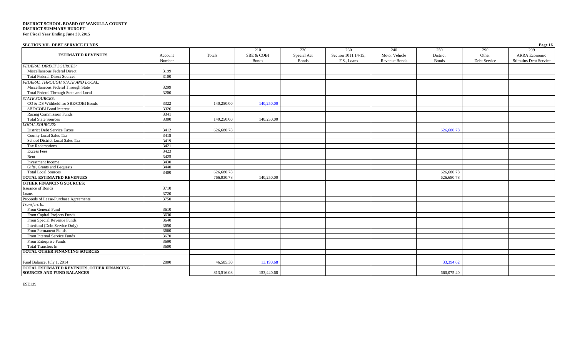| SECTION VII. DEBT SERVICE FUNDS                                               |                   |            |                                       |                                    |                                           |                                              |                                 |                              | Page 16                                       |
|-------------------------------------------------------------------------------|-------------------|------------|---------------------------------------|------------------------------------|-------------------------------------------|----------------------------------------------|---------------------------------|------------------------------|-----------------------------------------------|
| <b>ESTIMATED REVENUES</b>                                                     | Account<br>Number | Totals     | 210<br><b>SBE &amp; COBI</b><br>Bonds | 220<br>Special Act<br><b>Bonds</b> | 230<br>Section 1011.14-15,<br>F.S., Loans | 240<br>Motor Vehicle<br><b>Revenue Bonds</b> | 250<br>District<br><b>Bonds</b> | 290<br>Other<br>Debt Service | 299<br>ARRA Economic<br>Stimulus Debt Service |
| <b>FEDERAL DIRECT SOURCES:</b>                                                |                   |            |                                       |                                    |                                           |                                              |                                 |                              |                                               |
| Miscellaneous Federal Direct                                                  | 3199              |            |                                       |                                    |                                           |                                              |                                 |                              |                                               |
| <b>Total Federal Direct Sources</b>                                           | 3100              |            |                                       |                                    |                                           |                                              |                                 |                              |                                               |
| FEDERAL THROUGH STATE AND LOCAL:                                              |                   |            |                                       |                                    |                                           |                                              |                                 |                              |                                               |
| Miscellaneous Federal Through State                                           | 3299              |            |                                       |                                    |                                           |                                              |                                 |                              |                                               |
| Total Federal Through State and Local                                         | 3200              |            |                                       |                                    |                                           |                                              |                                 |                              |                                               |
| <b>STATE SOURCES:</b>                                                         |                   |            |                                       |                                    |                                           |                                              |                                 |                              |                                               |
| CO & DS Withheld for SBE/COBI Bonds                                           | 3322              | 140,250.00 | 140,250.00                            |                                    |                                           |                                              |                                 |                              |                                               |
| SBE/COBI Bond Interest                                                        | 3326              |            |                                       |                                    |                                           |                                              |                                 |                              |                                               |
| Racing Commission Funds                                                       | 3341              |            |                                       |                                    |                                           |                                              |                                 |                              |                                               |
| <b>Total State Sources</b>                                                    | 3300              | 140,250.00 | 140,250.00                            |                                    |                                           |                                              |                                 |                              |                                               |
| <b>LOCAL SOURCES:</b>                                                         |                   |            |                                       |                                    |                                           |                                              |                                 |                              |                                               |
| <b>District Debt Service Taxes</b>                                            | 3412              | 626,680.78 |                                       |                                    |                                           |                                              | 626,680.78                      |                              |                                               |
| <b>County Local Sales Tax</b>                                                 | 3418              |            |                                       |                                    |                                           |                                              |                                 |                              |                                               |
| School District Local Sales Tax                                               | 3419              |            |                                       |                                    |                                           |                                              |                                 |                              |                                               |
| <b>Tax Redemptions</b>                                                        | 3421              |            |                                       |                                    |                                           |                                              |                                 |                              |                                               |
| <b>Excess Fees</b>                                                            | 3423              |            |                                       |                                    |                                           |                                              |                                 |                              |                                               |
| Rent                                                                          | 3425              |            |                                       |                                    |                                           |                                              |                                 |                              |                                               |
| Investment Income                                                             | 3430              |            |                                       |                                    |                                           |                                              |                                 |                              |                                               |
| Gifts, Grants and Bequests                                                    | 3440              |            |                                       |                                    |                                           |                                              |                                 |                              |                                               |
| <b>Total Local Sources</b>                                                    | 3400              | 626,680.78 |                                       |                                    |                                           |                                              | 626,680.78                      |                              |                                               |
| <b>TOTAL ESTIMATED REVENUES</b>                                               |                   | 766,930.78 | 140,250.00                            |                                    |                                           |                                              | 626,680.78                      |                              |                                               |
| <b>OTHER FINANCING SOURCES:</b>                                               |                   |            |                                       |                                    |                                           |                                              |                                 |                              |                                               |
| <b>Issuance of Bonds</b>                                                      | 3710              |            |                                       |                                    |                                           |                                              |                                 |                              |                                               |
| Loans                                                                         | 3720              |            |                                       |                                    |                                           |                                              |                                 |                              |                                               |
| Proceeds of Lease-Purchase Agreements                                         | 3750              |            |                                       |                                    |                                           |                                              |                                 |                              |                                               |
| Transfers In:                                                                 |                   |            |                                       |                                    |                                           |                                              |                                 |                              |                                               |
| From General Fund                                                             | 3610              |            |                                       |                                    |                                           |                                              |                                 |                              |                                               |
| From Capital Projects Funds                                                   | 3630              |            |                                       |                                    |                                           |                                              |                                 |                              |                                               |
| From Special Revenue Funds                                                    | 3640              |            |                                       |                                    |                                           |                                              |                                 |                              |                                               |
| Interfund (Debt Service Only)                                                 | 3650              |            |                                       |                                    |                                           |                                              |                                 |                              |                                               |
| From Permanent Funds                                                          | 3660              |            |                                       |                                    |                                           |                                              |                                 |                              |                                               |
| From Internal Service Funds                                                   | 3670              |            |                                       |                                    |                                           |                                              |                                 |                              |                                               |
| From Enterprise Funds                                                         | 3690              |            |                                       |                                    |                                           |                                              |                                 |                              |                                               |
| <b>Total Transfers In</b>                                                     | 3600              |            |                                       |                                    |                                           |                                              |                                 |                              |                                               |
| <b>TOTAL OTHER FINANCING SOURCES</b>                                          |                   |            |                                       |                                    |                                           |                                              |                                 |                              |                                               |
| Fund Balance, July 1, 2014                                                    | 2800              | 46,585.30  | 13,190.68                             |                                    |                                           |                                              | 33,394.62                       |                              |                                               |
| TOTAL ESTIMATED REVENUES, OTHER FINANCING<br><b>SOURCES AND FUND BALANCES</b> |                   | 813,516.08 | 153,440.68                            |                                    |                                           |                                              | 660,075.40                      |                              |                                               |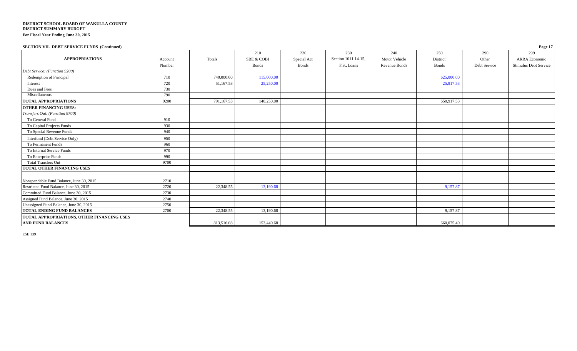| <b>SECTION VII. DEBT SERVICE FUNDS (Continued)</b> |         |            |                       |              |                     |                      |              |              | Page 17               |
|----------------------------------------------------|---------|------------|-----------------------|--------------|---------------------|----------------------|--------------|--------------|-----------------------|
|                                                    |         |            | 210                   | 220          | 230                 | 240                  | 250          | 290          | 299                   |
| <b>APPROPRIATIONS</b>                              | Account | Totals     | <b>SBE &amp; COBI</b> | Special Act  | Section 1011.14-15, | Motor Vehicle        | District     | Other        | <b>ARRA Economic</b>  |
|                                                    | Number  |            | <b>Bonds</b>          | <b>Bonds</b> | F.S., Loans         | <b>Revenue Bonds</b> | <b>Bonds</b> | Debt Service | Stimulus Debt Service |
| Debt Service: (Function 9200)                      |         |            |                       |              |                     |                      |              |              |                       |
| Redemption of Principal                            | 710     | 740,000.00 | 115,000.00            |              |                     |                      | 625,000.00   |              |                       |
| Interest                                           | 720     | 51,167.53  | 25,250.00             |              |                     |                      | 25,917.53    |              |                       |
| Dues and Fees                                      | 730     |            |                       |              |                     |                      |              |              |                       |
| Miscellaneous                                      | 790     |            |                       |              |                     |                      |              |              |                       |
| <b>TOTAL APPROPRIATIONS</b>                        | 9200    | 791,167.53 | 140,250.00            |              |                     |                      | 650,917.53   |              |                       |
| <b>OTHER FINANCING USES:</b>                       |         |            |                       |              |                     |                      |              |              |                       |
| Transfers Out: (Function 9700)                     |         |            |                       |              |                     |                      |              |              |                       |
| To General Fund                                    | 910     |            |                       |              |                     |                      |              |              |                       |
| To Capital Projects Funds                          | 930     |            |                       |              |                     |                      |              |              |                       |
| To Special Revenue Funds                           | 940     |            |                       |              |                     |                      |              |              |                       |
| Interfund (Debt Service Only)                      | 950     |            |                       |              |                     |                      |              |              |                       |
| To Permanent Funds                                 | 960     |            |                       |              |                     |                      |              |              |                       |
| To Internal Service Funds                          | 970     |            |                       |              |                     |                      |              |              |                       |
| To Enterprise Funds                                | 990     |            |                       |              |                     |                      |              |              |                       |
| <b>Total Transfers Out</b>                         | 9700    |            |                       |              |                     |                      |              |              |                       |
| <b>TOTAL OTHER FINANCING USES</b>                  |         |            |                       |              |                     |                      |              |              |                       |
| Nonspendable Fund Balance, June 30, 2015           | 2710    |            |                       |              |                     |                      |              |              |                       |
| Restricted Fund Balance, June 30, 2015             | 2720    | 22,348.55  | 13,190.68             |              |                     |                      | 9,157.87     |              |                       |
| Committed Fund Balance, June 30, 2015              | 2730    |            |                       |              |                     |                      |              |              |                       |
| Assigned Fund Balance, June 30, 2015               | 2740    |            |                       |              |                     |                      |              |              |                       |
| Unassigned Fund Balance, June 30, 2015             | 2750    |            |                       |              |                     |                      |              |              |                       |
| <b>TOTAL ENDING FUND BALANCES</b>                  | 2700    | 22,348.55  | 13,190.68             |              |                     |                      | 9,157.87     |              |                       |
| TOTAL APPROPRIATIONS, OTHER FINANCING USES         |         |            |                       |              |                     |                      |              |              |                       |
| <b>AND FUND BALANCES</b>                           |         | 813,516.08 | 153,440.68            |              |                     |                      | 660,075.40   |              |                       |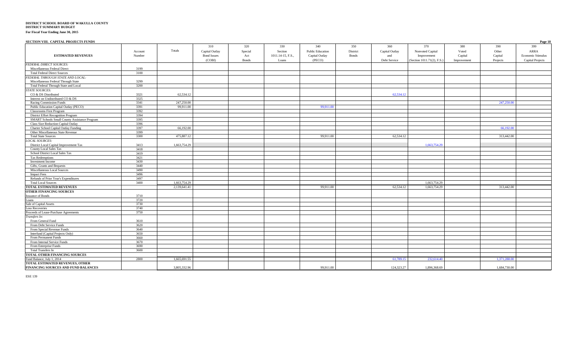| SECTION VIII. CAPITAL PROJECTS FUNDS          |                   |              |                                                       |                                       |                                              |                                                            |                                 |                                              |                                                                     |                                        |                                     | Page 18                                                     |
|-----------------------------------------------|-------------------|--------------|-------------------------------------------------------|---------------------------------------|----------------------------------------------|------------------------------------------------------------|---------------------------------|----------------------------------------------|---------------------------------------------------------------------|----------------------------------------|-------------------------------------|-------------------------------------------------------------|
| <b>ESTIMATED REVENUES</b>                     | Account<br>Number | Totals       | 310<br>Capital Outlay<br><b>Bond Issues</b><br>(COBI) | 320<br>Special<br>Act<br><b>Bonds</b> | 330<br>Section<br>1011.14-15, F.S.,<br>Loans | 340<br><b>Public Education</b><br>Capital Outlay<br>(PECO) | 350<br>District<br><b>Bonds</b> | 360<br>Capital Outlay<br>and<br>Debt Service | 370<br>Nonvoted Capital<br>Improvement<br>(Section 1011.71(2), F.S. | 380<br>Voted<br>Capital<br>Improvement | 390<br>Other<br>Capital<br>Projects | 399<br><b>ARRA</b><br>Economic Stimulus<br>Capital Projects |
| FEDERAL DIRECT SOURCES:                       |                   |              |                                                       |                                       |                                              |                                                            |                                 |                                              |                                                                     |                                        |                                     |                                                             |
| Miscellaneous Federal Direct                  | 3199              |              |                                                       |                                       |                                              |                                                            |                                 |                                              |                                                                     |                                        |                                     |                                                             |
| <b>Total Federal Direct Sources</b>           | 3100              |              |                                                       |                                       |                                              |                                                            |                                 |                                              |                                                                     |                                        |                                     |                                                             |
| FEDERAL THROUGH STATE AND LOCAL:              |                   |              |                                                       |                                       |                                              |                                                            |                                 |                                              |                                                                     |                                        |                                     |                                                             |
| Miscellaneous Federal Through State           | 3299              |              |                                                       |                                       |                                              |                                                            |                                 |                                              |                                                                     |                                        |                                     |                                                             |
| Total Federal Through State and Local         | 3200              |              |                                                       |                                       |                                              |                                                            |                                 |                                              |                                                                     |                                        |                                     |                                                             |
| <b>STATE SOURCES:</b>                         |                   |              |                                                       |                                       |                                              |                                                            |                                 |                                              |                                                                     |                                        |                                     |                                                             |
| CO & DS Distributed                           | 3321              | 62,534.12    |                                                       |                                       |                                              |                                                            |                                 | 62,534.12                                    |                                                                     |                                        |                                     |                                                             |
| Interest on Undistributed CO & DS             | 3325              |              |                                                       |                                       |                                              |                                                            |                                 |                                              |                                                                     |                                        |                                     |                                                             |
| Racing Commission Funds                       | 3341              | 247,250,00   |                                                       |                                       |                                              |                                                            |                                 |                                              |                                                                     |                                        | 247,250.00                          |                                                             |
| Public Education Capital Outlay (PECO)        | 3391              | 99,911.00    |                                                       |                                       |                                              | 99,911.00                                                  |                                 |                                              |                                                                     |                                        |                                     |                                                             |
| <b>Classrooms First Program</b>               | 3392              |              |                                                       |                                       |                                              |                                                            |                                 |                                              |                                                                     |                                        |                                     |                                                             |
| District Effort Recognition Program           | 3394              |              |                                                       |                                       |                                              |                                                            |                                 |                                              |                                                                     |                                        |                                     |                                                             |
| SMART Schools Small County Assistance Program | 3395              |              |                                                       |                                       |                                              |                                                            |                                 |                                              |                                                                     |                                        |                                     |                                                             |
| Class Size Reduction Capital Outlay           | 3396              |              |                                                       |                                       |                                              |                                                            |                                 |                                              |                                                                     |                                        |                                     |                                                             |
| Charter School Capital Outlay Funding         | 3397              | 66,192.00    |                                                       |                                       |                                              |                                                            |                                 |                                              |                                                                     |                                        | 66,192.00                           |                                                             |
| Other Miscellaneous State Revenue             | 3399              |              |                                                       |                                       |                                              |                                                            |                                 |                                              |                                                                     |                                        |                                     |                                                             |
| <b>Total State Sources</b>                    | 3300              | 475,887.12   |                                                       |                                       |                                              | 99,911.00                                                  |                                 | 62,534.12                                    |                                                                     |                                        | 313,442.00                          |                                                             |
| <b>LOCAL SOURCES:</b>                         |                   |              |                                                       |                                       |                                              |                                                            |                                 |                                              |                                                                     |                                        |                                     |                                                             |
| District Local Capital Improvement Tax        | 3413              | 1,663,754.29 |                                                       |                                       |                                              |                                                            |                                 |                                              | 1,663,754.29                                                        |                                        |                                     |                                                             |
| <b>County Local Sales Tax</b>                 | 3418              |              |                                                       |                                       |                                              |                                                            |                                 |                                              |                                                                     |                                        |                                     |                                                             |
| School District Local Sales Tax               | 3419              |              |                                                       |                                       |                                              |                                                            |                                 |                                              |                                                                     |                                        |                                     |                                                             |
| Tax Redemptions                               | 3421              |              |                                                       |                                       |                                              |                                                            |                                 |                                              |                                                                     |                                        |                                     |                                                             |
| Investment Income                             | 3430              |              |                                                       |                                       |                                              |                                                            |                                 |                                              |                                                                     |                                        |                                     |                                                             |
| Gifts, Grants and Bequests                    | 3440              |              |                                                       |                                       |                                              |                                                            |                                 |                                              |                                                                     |                                        |                                     |                                                             |
| Miscellaneous Local Sources                   | 3490              |              |                                                       |                                       |                                              |                                                            |                                 |                                              |                                                                     |                                        |                                     |                                                             |
| <b>Impact Fees</b>                            | 3496              |              |                                                       |                                       |                                              |                                                            |                                 |                                              |                                                                     |                                        |                                     |                                                             |
| Refunds of Prior Year's Expenditures          | 3497              |              |                                                       |                                       |                                              |                                                            |                                 |                                              |                                                                     |                                        |                                     |                                                             |
| <b>Total Local Sources</b>                    | 3400              | 1,663,754.29 |                                                       |                                       |                                              |                                                            |                                 |                                              | 1,663,754.29                                                        |                                        |                                     |                                                             |
| TOTAL ESTIMATED REVENUES                      |                   | 2,139,641.41 |                                                       |                                       |                                              | 99,911.00                                                  |                                 | 62,534.12                                    | 1,663,754.29                                                        |                                        | 313,442.00                          |                                                             |
| OTHER FINANCING SOURCES                       |                   |              |                                                       |                                       |                                              |                                                            |                                 |                                              |                                                                     |                                        |                                     |                                                             |
|                                               | 3710              |              |                                                       |                                       |                                              |                                                            |                                 |                                              |                                                                     |                                        |                                     |                                                             |
| Issuance of Bonds<br>Loans                    | 3720              |              |                                                       |                                       |                                              |                                                            |                                 |                                              |                                                                     |                                        |                                     |                                                             |
| Sale of Capital Assets                        | 3730              |              |                                                       |                                       |                                              |                                                            |                                 |                                              |                                                                     |                                        |                                     |                                                             |
| <b>Loss Recoveries</b>                        | 3740              |              |                                                       |                                       |                                              |                                                            |                                 |                                              |                                                                     |                                        |                                     |                                                             |
| Proceeds of Lease-Purchase Agreements         | 3750              |              |                                                       |                                       |                                              |                                                            |                                 |                                              |                                                                     |                                        |                                     |                                                             |
| Transfers In:                                 |                   |              |                                                       |                                       |                                              |                                                            |                                 |                                              |                                                                     |                                        |                                     |                                                             |
| From General Fund                             | 3610              |              |                                                       |                                       |                                              |                                                            |                                 |                                              |                                                                     |                                        |                                     |                                                             |
| From Debt Service Funds                       | 3620              |              |                                                       |                                       |                                              |                                                            |                                 |                                              |                                                                     |                                        |                                     |                                                             |
| From Special Revenue Funds                    | 3640              |              |                                                       |                                       |                                              |                                                            |                                 |                                              |                                                                     |                                        |                                     |                                                             |
| Interfund (Capital Projects Only)             | 3650              |              |                                                       |                                       |                                              |                                                            |                                 |                                              |                                                                     |                                        |                                     |                                                             |
| From Permanent Funds                          | 3660              |              |                                                       |                                       |                                              |                                                            |                                 |                                              |                                                                     |                                        |                                     |                                                             |
| From Internal Service Funds                   | 3670              |              |                                                       |                                       |                                              |                                                            |                                 |                                              |                                                                     |                                        |                                     |                                                             |
| From Enterprise Funds                         | 3690              |              |                                                       |                                       |                                              |                                                            |                                 |                                              |                                                                     |                                        |                                     |                                                             |
| Total Transfers In                            | 3600              |              |                                                       |                                       |                                              |                                                            |                                 |                                              |                                                                     |                                        |                                     |                                                             |
| TOTAL OTHER FINANCING SOURCES                 |                   |              |                                                       |                                       |                                              |                                                            |                                 |                                              |                                                                     |                                        |                                     |                                                             |
| Fund Balance, July 1, 2014                    | 2800              | 1,665,691.55 |                                                       |                                       |                                              |                                                            |                                 | 61,789.15                                    | 232.614.40                                                          |                                        | 1.371.288.00                        |                                                             |
| TOTAL ESTIMATED REVENUES, OTHER               |                   |              |                                                       |                                       |                                              |                                                            |                                 |                                              |                                                                     |                                        |                                     |                                                             |
| FINANCING SOURCES AND FUND BALANCES           |                   | 3.805.332.96 |                                                       |                                       |                                              | 99,911.00                                                  |                                 | 124,323.27                                   | 1,896,368.69                                                        |                                        | 1.684,730.00                        |                                                             |
|                                               |                   |              |                                                       |                                       |                                              |                                                            |                                 |                                              |                                                                     |                                        |                                     |                                                             |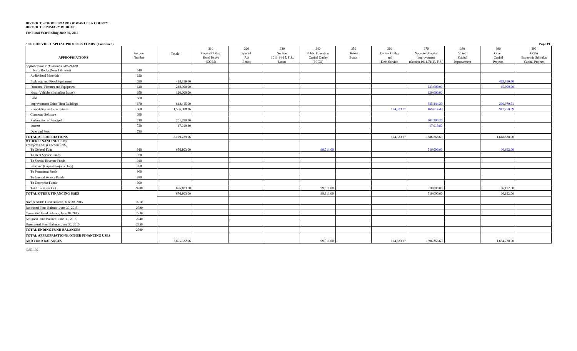#### **DISTRICT SCHOOL BOARD OF WAKULLA COUNTY DISTRICT SUMMARY BUDGET**

**For Fiscal Year Ending June 30, 2015**

#### **SECTION VIII. CAPITAL PROJECTS FUNDS (Continued) Page 19**  310 | 320 | 330 | 340 | 350 | 360 | 370 | 380 | 390 | 399 **APPROPRIATIONS** Account Number Totals Capital Outlay Bond Issues<br>(COBI) Special Act Section 1011.14-15, F.S., Public Education Capital Outlay District Bonds Capital Outlay and<br>Debt Service Nonvoted Capital Improvement<br>(Section  $1011.71(2)$ , F.S.) Voted Capital<br>Improvement Other Capital ARRA Economic Stimulus (COBI) Bonds Loans (PECO) Debt Service (Section 1011.71(2), F.S.) Improvement Projects Capital Projects *Appropriations: (Functions 7400/9200)* Library Books (New Libraries) 610 Audiovisual Materials 620 Buildings and Fixed Equipment (and the contract contract to the contract of the contract of the contract of the contract of the contract of the contract of the contract of the contract of the contract of the contract of th Furniture, Fixtures and Equipment 640 248,000.00 233,000.00 15,000.00 Motor Vehicles (Including Buses) 650 120,000.00 120,000.00 120,000 120,000 120,000 120,000 120,000 120,000.00 120,000.00 120,000 120,000 120,000 120,000 120,000 120,000 120,000 120,000 120,000 120,000 120,000 120,000 120,0 Land 660 Improvements Other Than Buildings 670 612,415.00 345,444.29 266,970.71 Remodeling and Renovations 680 1,506,688.36 1,506,688.36 1,506,688.36 1,600 1,506,688.36 1,600 1,500,688.36 1,600 1,600 1,600 1,600 1,600 1,600 1,600 1,600 1,600 1,600 1,600 1,600 1,600 1,600 1,600 1,600 1,600 1,600 1,750. Computer Software 690 Redemption of Principal 201,290.20 201,290.20 201,290.20 20:00 201,290.20 20:00 20:00 20:00 20:00 20:00 20:00 20:00 20:00 20:00 20:00 20:00 20:00 20:00 20:00 20:00 20:00 20:00 20:00 20:00 20:00 20:00 20:00 20:00 20:00 20:0 Interest 20 17,019.80 17,019.80 17,019.80 17,000 17,000 17,000 17,000 17,000 17,000 17,000 17,000 17,000 17,00 **Dues and Fees** 730 **TOTAL APPROPRIATIONS** 1,318,368.69 1,618,538.00 1,618,538.00 1,618,538.00 1,618,538.00 1,618,538.00 1,618,538.00 1,618,538.00 1,618,538.00 1,618,538.00 1,618,538.00 1,618,538.00 1,618,538.00 1,618,538.00 1,618,538.00 1,61 **OTHER FINANCING USES:** *Transfers Out: (Function 9700)*  $\footnotesize$  To General Fund  $\footnotesize$   $\footnotesize$  910  $\footnotesize$   $\footnotesize$   $\footnotesize$   $\footnotesize$   $\footnotesize$   $\footnotesize$   $\footnotesize$   $\footnotesize$   $\footnotesize$   $\footnotesize$   $\footnotesize$   $\footnotesize$   $\footnotesize$   $\footnotesize$   $\footnotesize$   $\footnotesize$   $\footnotesize$   $\footnotesize$   $\footnotesize$   $\footnotesize$   $\footnotesize$   $\footnotesize$   $\footnotesize$   $\footnotesize$   $\footnotesize$   $\footnotesize$ To Debt Service Funds 920 To Special Revenue Funds 940 Interfund (Capital Projects Only) 950 To Permanent Funds 960 To Internal Service Funds 970 To Enterprise Funds 990 Total Transfers Out 19700 9700 66,192.00 99,911.00 99,911.00 99,911.00 99,911.00 510,000.00 510,000.00 66,192.00 **TOTAL OTHER FINANCING USES** 676,103.00 99,911.00 510,000.00 66,192.00 Nonspendable Fund Balance, June 30, 2015 2710 Restricted Fund Balance, June 30, 2015 2720 Committed Fund Balance, June 30, 2015 2730 Assigned Fund Balance, June 30, 2015 2740 Inassigned Fund Balance, June 30, 2015 2750 **TOTAL ENDING FUND BALANCES** 2700 **TOTAL APPROPRIATIONS, OTHER FINANCING USES**

**AND FUND BALANCES** 2006,3000 1,684,730.00 1,684,730.00 1,684,730.00 1,684,730.00 1,684,730.00 1,684,730.00 1,684,730.00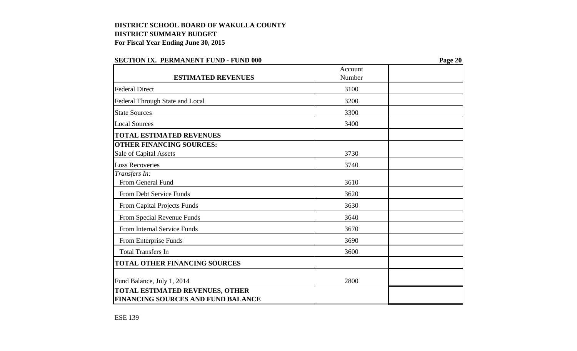| льсттон тых, тыхимический сид        | Account | $1 \mu_{\mathbf{S}}$ c 20 |
|--------------------------------------|---------|---------------------------|
| <b>ESTIMATED REVENUES</b>            | Number  |                           |
| <b>Federal Direct</b>                | 3100    |                           |
| Federal Through State and Local      | 3200    |                           |
| <b>State Sources</b>                 | 3300    |                           |
| <b>Local Sources</b>                 | 3400    |                           |
| <b>TOTAL ESTIMATED REVENUES</b>      |         |                           |
| <b>OTHER FINANCING SOURCES:</b>      |         |                           |
| Sale of Capital Assets               | 3730    |                           |
| <b>Loss Recoveries</b>               | 3740    |                           |
| Transfers In:                        |         |                           |
| From General Fund                    | 3610    |                           |
| From Debt Service Funds              | 3620    |                           |
| From Capital Projects Funds          | 3630    |                           |
| From Special Revenue Funds           | 3640    |                           |
| From Internal Service Funds          | 3670    |                           |
| From Enterprise Funds                | 3690    |                           |
| <b>Total Transfers In</b>            | 3600    |                           |
| <b>TOTAL OTHER FINANCING SOURCES</b> |         |                           |
| Fund Balance, July 1, 2014           | 2800    |                           |
| TOTAL ESTIMATED REVENUES, OTHER      |         |                           |
| FINANCING SOURCES AND FUND BALANCE   |         |                           |

### **SECTION IX. PERMANENT FUND - FUND 000 Page 20**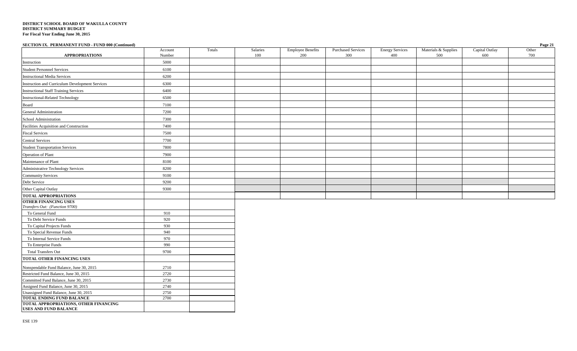| SECTION IX. PERMANENT FUND - FUND 000 (Continued)                              |              |        |          |                          |                           |                        |                      |                | Page 21 |
|--------------------------------------------------------------------------------|--------------|--------|----------|--------------------------|---------------------------|------------------------|----------------------|----------------|---------|
|                                                                                | Account      | Totals | Salaries | <b>Employee Benefits</b> | <b>Purchased Services</b> | <b>Energy Services</b> | Materials & Supplies | Capital Outlay | Other   |
| <b>APPROPRIATIONS</b>                                                          | Number       |        | 100      | 200                      | 300                       | 400                    | 500                  | 600            | 700     |
| Instruction                                                                    | 5000         |        |          |                          |                           |                        |                      |                |         |
| <b>Student Personnel Services</b>                                              | 6100         |        |          |                          |                           |                        |                      |                |         |
| <b>Instructional Media Services</b>                                            | 6200         |        |          |                          |                           |                        |                      |                |         |
| Instruction and Curriculum Development Services                                | 6300         |        |          |                          |                           |                        |                      |                |         |
| <b>Instructional Staff Training Services</b>                                   | 6400         |        |          |                          |                           |                        |                      |                |         |
| <b>Instructional-Related Technology</b>                                        | 6500         |        |          |                          |                           |                        |                      |                |         |
| Board                                                                          | 7100         |        |          |                          |                           |                        |                      |                |         |
| General Administration                                                         | 7200         |        |          |                          |                           |                        |                      |                |         |
| School Administration                                                          | 7300         |        |          |                          |                           |                        |                      |                |         |
| Facilities Acquisition and Construction                                        | 7400         |        |          |                          |                           |                        |                      |                |         |
| <b>Fiscal Services</b>                                                         | 7500         |        |          |                          |                           |                        |                      |                |         |
| <b>Central Services</b>                                                        | 7700         |        |          |                          |                           |                        |                      |                |         |
| <b>Student Transportation Services</b>                                         | 7800         |        |          |                          |                           |                        |                      |                |         |
| Operation of Plant                                                             | 7900         |        |          |                          |                           |                        |                      |                |         |
| Maintenance of Plant                                                           | 8100         |        |          |                          |                           |                        |                      |                |         |
| Administrative Technology Services                                             | 8200         |        |          |                          |                           |                        |                      |                |         |
| <b>Community Services</b>                                                      | 9100         |        |          |                          |                           |                        |                      |                |         |
| Debt Service                                                                   | 9200         |        |          |                          |                           |                        |                      |                |         |
| Other Capital Outlay                                                           | 9300         |        |          |                          |                           |                        |                      |                |         |
| <b>TOTAL APPROPRIATIONS</b>                                                    |              |        |          |                          |                           |                        |                      |                |         |
| <b>OTHER FINANCING USES</b>                                                    |              |        |          |                          |                           |                        |                      |                |         |
| Transfers Out: (Function 9700)                                                 |              |        |          |                          |                           |                        |                      |                |         |
| To General Fund                                                                | 910          |        |          |                          |                           |                        |                      |                |         |
| To Debt Service Funds                                                          | 920          |        |          |                          |                           |                        |                      |                |         |
| To Capital Projects Funds<br>To Special Revenue Funds                          | 930<br>940   |        |          |                          |                           |                        |                      |                |         |
| To Internal Service Funds                                                      | 970          |        |          |                          |                           |                        |                      |                |         |
| To Enterprise Funds                                                            | 990          |        |          |                          |                           |                        |                      |                |         |
| <b>Total Transfers Out</b>                                                     | 9700         |        |          |                          |                           |                        |                      |                |         |
| TOTAL OTHER FINANCING USES                                                     |              |        |          |                          |                           |                        |                      |                |         |
|                                                                                |              |        |          |                          |                           |                        |                      |                |         |
| Nonspendable Fund Balance, June 30, 2015                                       | 2710         |        |          |                          |                           |                        |                      |                |         |
| Restricted Fund Balance, June 30, 2015                                         | 2720         |        |          |                          |                           |                        |                      |                |         |
| Committed Fund Balance, June 30, 2015                                          | 2730         |        |          |                          |                           |                        |                      |                |         |
| Assigned Fund Balance, June 30, 2015<br>Unassigned Fund Balance, June 30, 2015 | 2740<br>2750 |        |          |                          |                           |                        |                      |                |         |
| <b>TOTAL ENDING FUND BALANCE</b>                                               | 2700         |        |          |                          |                           |                        |                      |                |         |
| TOTAL APPROPRIATIONS, OTHER FINANCING                                          |              |        |          |                          |                           |                        |                      |                |         |

**USES AND FUND BALANCE**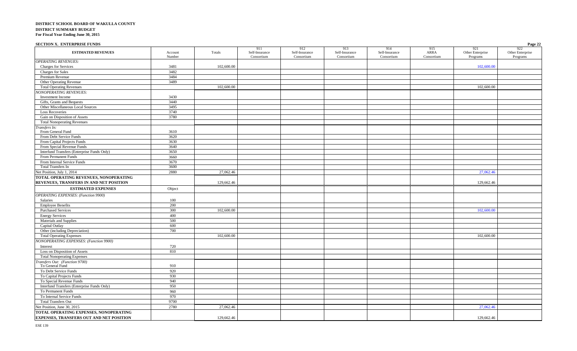| <b>SECTION X. ENTERPRISE FUNDS</b>                                                |         |            |                       |                       |                       |                       |             |                         | Page 22                 |
|-----------------------------------------------------------------------------------|---------|------------|-----------------------|-----------------------|-----------------------|-----------------------|-------------|-------------------------|-------------------------|
| <b>ESTIMATED REVENUES</b>                                                         | Account | Totals     | 911<br>Self-Insurance | 912<br>Self-Insurance | 913<br>Self-Insurance | 914<br>Self-Insurance | 915<br>ARRA | 921<br>Other Enterprise | 922<br>Other Enterprise |
| <b>OPERATING REVENUES:</b>                                                        | Number  |            | Consortium            | Consortium            | Consortium            | Consortium            | Consortium  | Programs                | Programs                |
| <b>Charges for Services</b>                                                       | 3481    | 102,600.00 |                       |                       |                       |                       |             | 102,600.00              |                         |
| Charges for Sales                                                                 | 3482    |            |                       |                       |                       |                       |             |                         |                         |
| Premium Revenue                                                                   | 3484    |            |                       |                       |                       |                       |             |                         |                         |
|                                                                                   |         |            |                       |                       |                       |                       |             |                         |                         |
| Other Operating Revenue                                                           | 3489    | 102,600.00 |                       |                       |                       |                       |             | 102,600.00              |                         |
| <b>Total Operating Revenues</b>                                                   |         |            |                       |                       |                       |                       |             |                         |                         |
| <b>IONOPERATING REVENUES:</b><br>Investment Income                                | 3430    |            |                       |                       |                       |                       |             |                         |                         |
|                                                                                   | 3440    |            |                       |                       |                       |                       |             |                         |                         |
| Gifts, Grants and Bequests<br>Other Miscellaneous Local Sources                   | 3495    |            |                       |                       |                       |                       |             |                         |                         |
|                                                                                   |         |            |                       |                       |                       |                       |             |                         |                         |
| <b>Loss Recoveries</b>                                                            | 3740    |            |                       |                       |                       |                       |             |                         |                         |
| Gain on Disposition of Assets                                                     | 3780    |            |                       |                       |                       |                       |             |                         |                         |
| <b>Total Nonoperating Revenues</b>                                                |         |            |                       |                       |                       |                       |             |                         |                         |
| ransfers In:<br>From General Fund                                                 | 3610    |            |                       |                       |                       |                       |             |                         |                         |
| From Debt Service Funds                                                           | 3620    |            |                       |                       |                       |                       |             |                         |                         |
| From Capital Projects Funds                                                       | 3630    |            |                       |                       |                       |                       |             |                         |                         |
| From Special Revenue Funds                                                        | 3640    |            |                       |                       |                       |                       |             |                         |                         |
| Interfund Transfers (Enterprise Funds Only)                                       | 3650    |            |                       |                       |                       |                       |             |                         |                         |
| From Permanent Funds                                                              | 3660    |            |                       |                       |                       |                       |             |                         |                         |
| From Internal Service Funds                                                       | 3670    |            |                       |                       |                       |                       |             |                         |                         |
| Total Transfers In                                                                | 3600    |            |                       |                       |                       |                       |             |                         |                         |
| Net Position, July 1, 2014                                                        | 2880    | 27,062.46  |                       |                       |                       |                       |             | 27,062.46               |                         |
| TOTAL OPERATING REVENUES, NONOPERATING<br>REVENUES, TRANSFERS IN AND NET POSITION |         | 129,662.46 |                       |                       |                       |                       |             | 129,662.46              |                         |
| <b>ESTIMATED EXPENSES</b>                                                         | Object  |            |                       |                       |                       |                       |             |                         |                         |
| <b>OPERATING EXPENSES:</b> (Function 9900)                                        |         |            |                       |                       |                       |                       |             |                         |                         |
| Salaries                                                                          | 100     |            |                       |                       |                       |                       |             |                         |                         |
| <b>Employee Benefits</b>                                                          | 200     |            |                       |                       |                       |                       |             |                         |                         |
| <b>Purchased Services</b>                                                         | 300     | 102,600.00 |                       |                       |                       |                       |             | 102,600.00              |                         |
| <b>Energy Services</b>                                                            | 400     |            |                       |                       |                       |                       |             |                         |                         |
| Materials and Supplies                                                            | 500     |            |                       |                       |                       |                       |             |                         |                         |
| Capital Outlay                                                                    | 600     |            |                       |                       |                       |                       |             |                         |                         |
| Other (including Depreciation)                                                    | 700     |            |                       |                       |                       |                       |             |                         |                         |
| <b>Total Operating Expenses</b>                                                   |         | 102,600.00 |                       |                       |                       |                       |             | 102,600.00              |                         |
| <b>IONOPERATING EXPENSES: (Function 9900)</b>                                     |         |            |                       |                       |                       |                       |             |                         |                         |
| Interest                                                                          | 720     |            |                       |                       |                       |                       |             |                         |                         |
| Loss on Disposition of Assets                                                     | 810     |            |                       |                       |                       |                       |             |                         |                         |
| <b>Total Nonoperating Expenses</b>                                                |         |            |                       |                       |                       |                       |             |                         |                         |
| Transfers Out: (Function 9700)                                                    |         |            |                       |                       |                       |                       |             |                         |                         |
| To General Fund                                                                   | 910     |            |                       |                       |                       |                       |             |                         |                         |
| To Debt Service Funds                                                             | 920     |            |                       |                       |                       |                       |             |                         |                         |
| To Capital Projects Funds                                                         | 930     |            |                       |                       |                       |                       |             |                         |                         |
| To Special Revenue Funds                                                          | 940     |            |                       |                       |                       |                       |             |                         |                         |
| Interfund Transfers (Enterprise Funds Only)                                       | 950     |            |                       |                       |                       |                       |             |                         |                         |
| To Permanent Funds                                                                | 960     |            |                       |                       |                       |                       |             |                         |                         |
| To Internal Service Funds                                                         | 970     |            |                       |                       |                       |                       |             |                         |                         |
| <b>Total Transfers Out</b>                                                        | 9700    |            |                       |                       |                       |                       |             |                         |                         |
| Net Position, June 30, 2015                                                       | 2780    | 27,062.46  |                       |                       |                       |                       |             | 27,062.46               |                         |
| TOTAL OPERATING EXPENSES, NONOPERATING                                            |         |            |                       |                       |                       |                       |             |                         |                         |
| <b>EXPENSES, TRANSFERS OUT AND NET POSITION</b>                                   |         | 129,662.46 |                       |                       |                       |                       |             | 129,662.46              |                         |